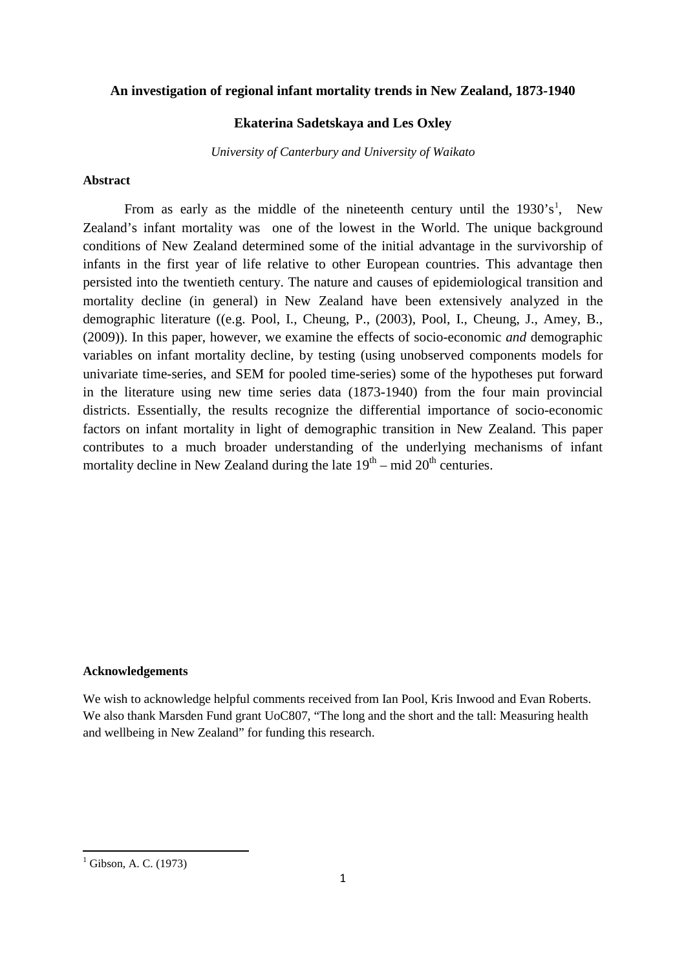#### **An investigation of regional infant mortality trends in New Zealand, 1873-1940**

#### **Ekaterina Sadetskaya and Les Oxley**

*University of Canterbury and University of Waikato*

#### **Abstract**

From as early as the middle of the nineteenth century until the  $1930's<sup>1</sup>$  $1930's<sup>1</sup>$ , New Zealand's infant mortality was one of the lowest in the World. The unique background conditions of New Zealand determined some of the initial advantage in the survivorship of infants in the first year of life relative to other European countries. This advantage then persisted into the twentieth century. The nature and causes of epidemiological transition and mortality decline (in general) in New Zealand have been extensively analyzed in the demographic literature ((e.g. Pool, I., Cheung, P., (2003), Pool, I., Cheung, J., Amey, B., (2009)). In this paper, however, we examine the effects of socio-economic *and* demographic variables on infant mortality decline, by testing (using unobserved components models for univariate time-series, and SEM for pooled time-series) some of the hypotheses put forward in the literature using new time series data (1873-1940) from the four main provincial districts. Essentially, the results recognize the differential importance of socio-economic factors on infant mortality in light of demographic transition in New Zealand. This paper contributes to a much broader understanding of the underlying mechanisms of infant mortality decline in New Zealand during the late  $19<sup>th</sup>$  – mid  $20<sup>th</sup>$  centuries.

#### **Acknowledgements**

We wish to acknowledge helpful comments received from Ian Pool, Kris Inwood and Evan Roberts. We also thank Marsden Fund grant UoC807, "The long and the short and the tall: Measuring health and wellbeing in New Zealand" for funding this research.

.<br>-

<span id="page-0-0"></span> $1$  Gibson, A. C. (1973)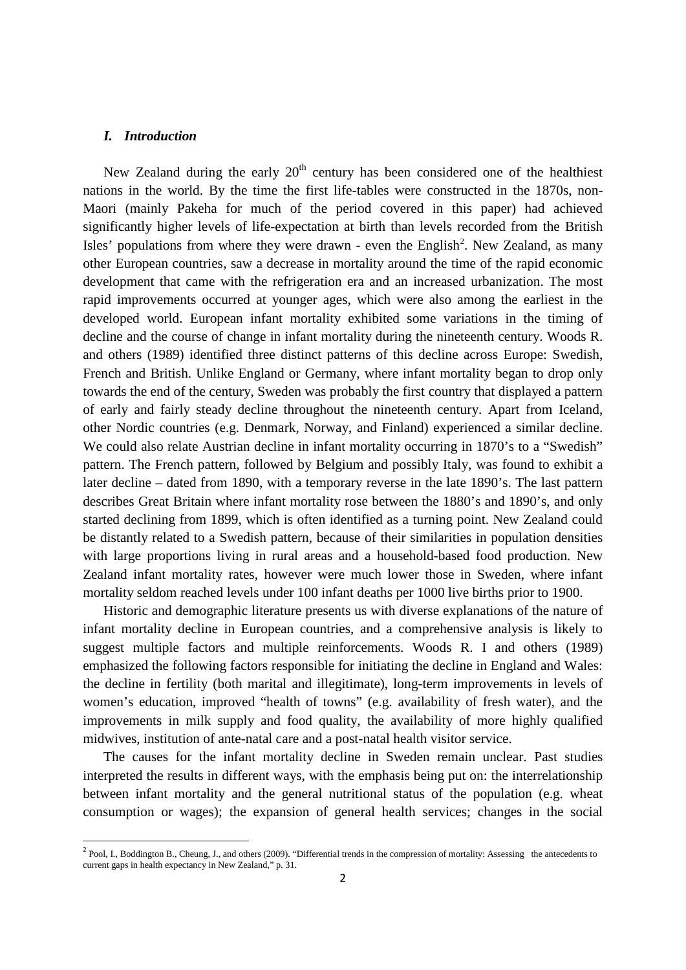### *I. Introduction*

New Zealand during the early  $20<sup>th</sup>$  century has been considered one of the healthiest nations in the world. By the time the first life-tables were constructed in the 1870s, non-Maori (mainly Pakeha for much of the period covered in this paper) had achieved significantly higher levels of life-expectation at birth than levels recorded from the British Isles' populations from where they were drawn - even the English<sup>[2](#page-1-0)</sup>. New Zealand, as many other European countries, saw a decrease in mortality around the time of the rapid economic development that came with the refrigeration era and an increased urbanization. The most rapid improvements occurred at younger ages, which were also among the earliest in the developed world. European infant mortality exhibited some variations in the timing of decline and the course of change in infant mortality during the nineteenth century. Woods R. and others (1989) identified three distinct patterns of this decline across Europe: Swedish, French and British. Unlike England or Germany, where infant mortality began to drop only towards the end of the century, Sweden was probably the first country that displayed a pattern of early and fairly steady decline throughout the nineteenth century. Apart from Iceland, other Nordic countries (e.g. Denmark, Norway, and Finland) experienced a similar decline. We could also relate Austrian decline in infant mortality occurring in 1870's to a "Swedish" pattern. The French pattern, followed by Belgium and possibly Italy, was found to exhibit a later decline – dated from 1890, with a temporary reverse in the late 1890's. The last pattern describes Great Britain where infant mortality rose between the 1880's and 1890's, and only started declining from 1899, which is often identified as a turning point. New Zealand could be distantly related to a Swedish pattern, because of their similarities in population densities with large proportions living in rural areas and a household-based food production. New Zealand infant mortality rates, however were much lower those in Sweden, where infant mortality seldom reached levels under 100 infant deaths per 1000 live births prior to 1900.

Historic and demographic literature presents us with diverse explanations of the nature of infant mortality decline in European countries, and a comprehensive analysis is likely to suggest multiple factors and multiple reinforcements. Woods R. I and others (1989) emphasized the following factors responsible for initiating the decline in England and Wales: the decline in fertility (both marital and illegitimate), long-term improvements in levels of women's education, improved "health of towns" (e.g. availability of fresh water), and the improvements in milk supply and food quality, the availability of more highly qualified midwives, institution of ante-natal care and a post-natal health visitor service.

The causes for the infant mortality decline in Sweden remain unclear. Past studies interpreted the results in different ways, with the emphasis being put on: the interrelationship between infant mortality and the general nutritional status of the population (e.g. wheat consumption or wages); the expansion of general health services; changes in the social

<span id="page-1-0"></span><sup>&</sup>lt;sup>2</sup> Pool, I., Boddington B., Cheung, J., and others (2009). "Differential trends in the compression of mortality: Assessing the antecedents to current gaps in health expectancy in New Zealand," p. 31.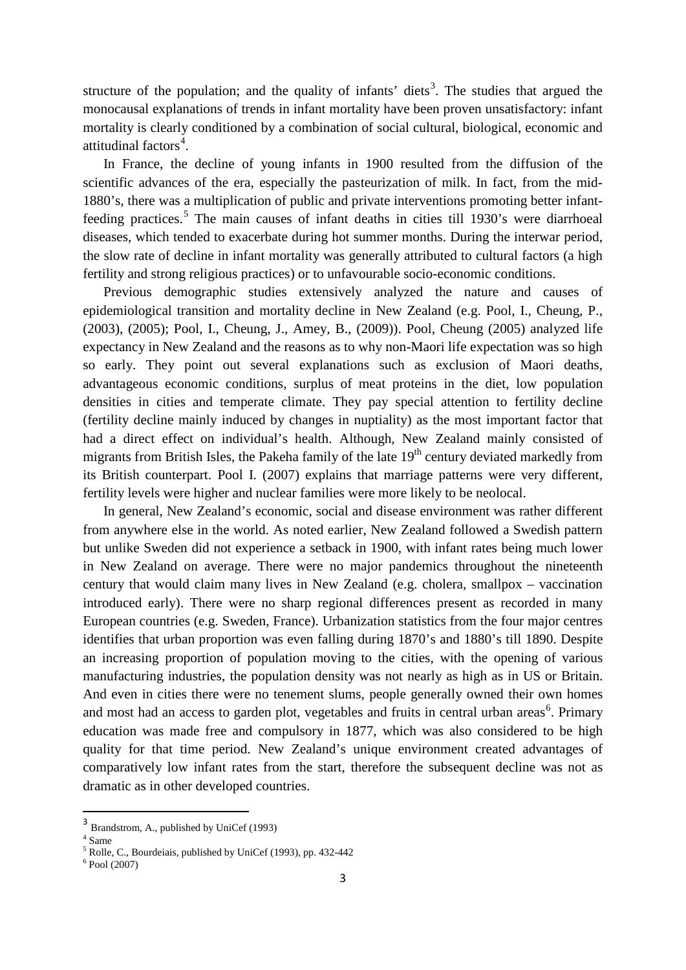structure of the population; and the quality of infants' diets<sup>[3](#page-2-0)</sup>. The studies that argued the monocausal explanations of trends in infant mortality have been proven unsatisfactory: infant mortality is clearly conditioned by a combination of social cultural, biological, economic and attitudinal factors<sup>[4](#page-2-1)</sup>.

In France, the decline of young infants in 1900 resulted from the diffusion of the scientific advances of the era, especially the pasteurization of milk. In fact, from the mid-1880's, there was a multiplication of public and private interventions promoting better infant-feeding practices.<sup>[5](#page-2-2)</sup> The main causes of infant deaths in cities till 1930's were diarrhoeal diseases, which tended to exacerbate during hot summer months. During the interwar period, the slow rate of decline in infant mortality was generally attributed to cultural factors (a high fertility and strong religious practices) or to unfavourable socio-economic conditions.

Previous demographic studies extensively analyzed the nature and causes of epidemiological transition and mortality decline in New Zealand (e.g. Pool, I., Cheung, P., (2003), (2005); Pool, I., Cheung, J., Amey, B., (2009)). Pool, Cheung (2005) analyzed life expectancy in New Zealand and the reasons as to why non-Maori life expectation was so high so early. They point out several explanations such as exclusion of Maori deaths, advantageous economic conditions, surplus of meat proteins in the diet, low population densities in cities and temperate climate. They pay special attention to fertility decline (fertility decline mainly induced by changes in nuptiality) as the most important factor that had a direct effect on individual's health. Although, New Zealand mainly consisted of migrants from British Isles, the Pakeha family of the late 19<sup>th</sup> century deviated markedly from its British counterpart. Pool I. (2007) explains that marriage patterns were very different, fertility levels were higher and nuclear families were more likely to be neolocal.

In general, New Zealand's economic, social and disease environment was rather different from anywhere else in the world. As noted earlier, New Zealand followed a Swedish pattern but unlike Sweden did not experience a setback in 1900, with infant rates being much lower in New Zealand on average. There were no major pandemics throughout the nineteenth century that would claim many lives in New Zealand (e.g. cholera, smallpox – vaccination introduced early). There were no sharp regional differences present as recorded in many European countries (e.g. Sweden, France). Urbanization statistics from the four major centres identifies that urban proportion was even falling during 1870's and 1880's till 1890. Despite an increasing proportion of population moving to the cities, with the opening of various manufacturing industries, the population density was not nearly as high as in US or Britain. And even in cities there were no tenement slums, people generally owned their own homes and most had an access to garden plot, vegetables and fruits in central urban areas<sup>[6](#page-2-3)</sup>. Primary education was made free and compulsory in 1877, which was also considered to be high quality for that time period. New Zealand's unique environment created advantages of comparatively low infant rates from the start, therefore the subsequent decline was not as dramatic as in other developed countries.

<span id="page-2-0"></span> <sup>3</sup> Brandstrom, A., published by UniCef (1993)

<span id="page-2-1"></span> $4 \overline{\text{Same}}$ 

<span id="page-2-2"></span> $\frac{5 \text{ km}}{8}$  Rolle, C., Bourdeiais, published by UniCef (1993), pp. 432-442  $\frac{6}{5}$  Pool (2007)

<span id="page-2-3"></span>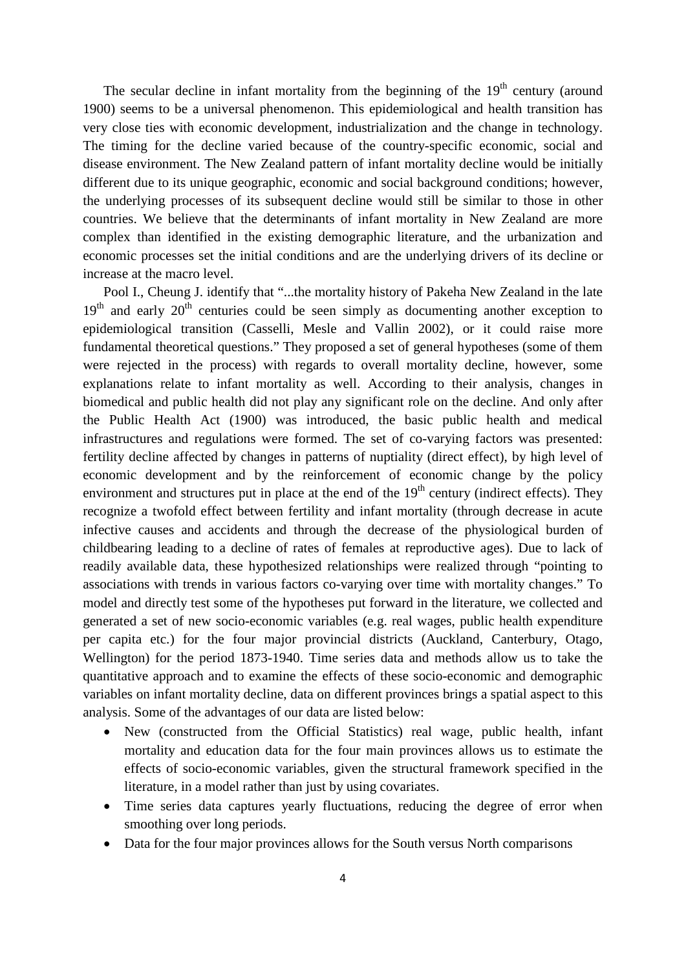The secular decline in infant mortality from the beginning of the  $19<sup>th</sup>$  century (around 1900) seems to be a universal phenomenon. This epidemiological and health transition has very close ties with economic development, industrialization and the change in technology. The timing for the decline varied because of the country-specific economic, social and disease environment. The New Zealand pattern of infant mortality decline would be initially different due to its unique geographic, economic and social background conditions; however, the underlying processes of its subsequent decline would still be similar to those in other countries. We believe that the determinants of infant mortality in New Zealand are more complex than identified in the existing demographic literature, and the urbanization and economic processes set the initial conditions and are the underlying drivers of its decline or increase at the macro level.

Pool I., Cheung J. identify that "...the mortality history of Pakeha New Zealand in the late  $19<sup>th</sup>$  and early  $20<sup>th</sup>$  centuries could be seen simply as documenting another exception to epidemiological transition (Casselli, Mesle and Vallin 2002), or it could raise more fundamental theoretical questions." They proposed a set of general hypotheses (some of them were rejected in the process) with regards to overall mortality decline, however, some explanations relate to infant mortality as well. According to their analysis, changes in biomedical and public health did not play any significant role on the decline. And only after the Public Health Act (1900) was introduced, the basic public health and medical infrastructures and regulations were formed. The set of co-varying factors was presented: fertility decline affected by changes in patterns of nuptiality (direct effect), by high level of economic development and by the reinforcement of economic change by the policy environment and structures put in place at the end of the  $19<sup>th</sup>$  century (indirect effects). They recognize a twofold effect between fertility and infant mortality (through decrease in acute infective causes and accidents and through the decrease of the physiological burden of childbearing leading to a decline of rates of females at reproductive ages). Due to lack of readily available data, these hypothesized relationships were realized through "pointing to associations with trends in various factors co-varying over time with mortality changes." To model and directly test some of the hypotheses put forward in the literature, we collected and generated a set of new socio-economic variables (e.g. real wages, public health expenditure per capita etc.) for the four major provincial districts (Auckland, Canterbury, Otago, Wellington) for the period 1873-1940. Time series data and methods allow us to take the quantitative approach and to examine the effects of these socio-economic and demographic variables on infant mortality decline, data on different provinces brings a spatial aspect to this analysis. Some of the advantages of our data are listed below:

- New (constructed from the Official Statistics) real wage, public health, infant mortality and education data for the four main provinces allows us to estimate the effects of socio-economic variables, given the structural framework specified in the literature, in a model rather than just by using covariates.
- Time series data captures yearly fluctuations, reducing the degree of error when smoothing over long periods.
- Data for the four major provinces allows for the South versus North comparisons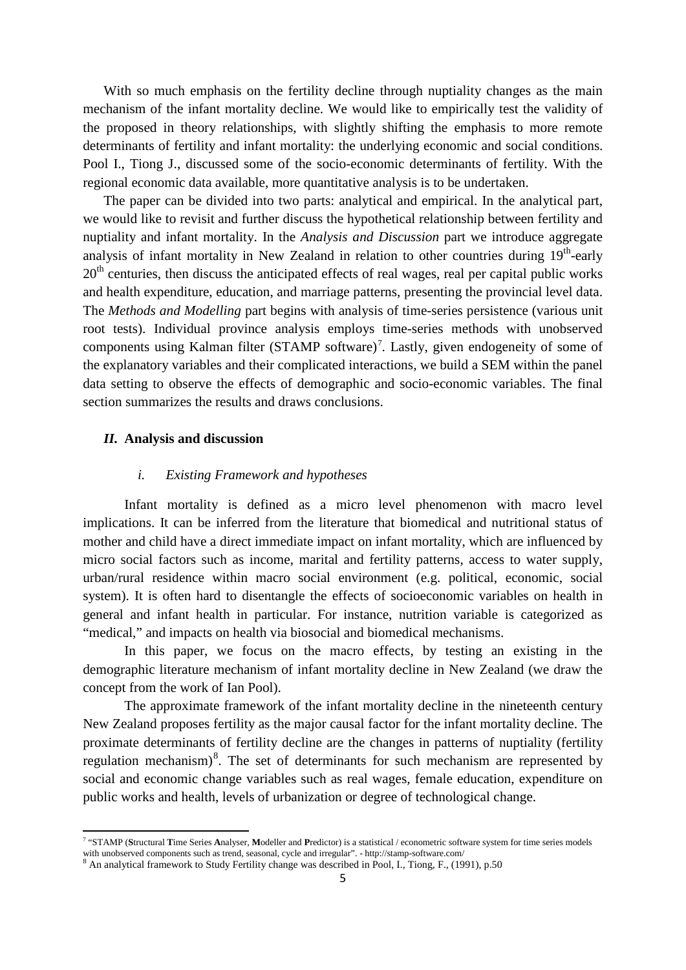With so much emphasis on the fertility decline through nuptiality changes as the main mechanism of the infant mortality decline. We would like to empirically test the validity of the proposed in theory relationships, with slightly shifting the emphasis to more remote determinants of fertility and infant mortality: the underlying economic and social conditions. Pool I., Tiong J., discussed some of the socio-economic determinants of fertility. With the regional economic data available, more quantitative analysis is to be undertaken.

The paper can be divided into two parts: analytical and empirical. In the analytical part, we would like to revisit and further discuss the hypothetical relationship between fertility and nuptiality and infant mortality. In the *Analysis and Discussion* part we introduce aggregate analysis of infant mortality in New Zealand in relation to other countries during  $19<sup>th</sup>$ -early  $20<sup>th</sup>$  centuries, then discuss the anticipated effects of real wages, real per capital public works and health expenditure, education, and marriage patterns, presenting the provincial level data. The *Methods and Modelling* part begins with analysis of time-series persistence (various unit root tests). Individual province analysis employs time-series methods with unobserved components using Kalman filter (STAMP software)<sup>[7](#page-4-0)</sup>. Lastly, given endogeneity of some of the explanatory variables and their complicated interactions, we build a SEM within the panel data setting to observe the effects of demographic and socio-economic variables. The final section summarizes the results and draws conclusions.

# *II.* **Analysis and discussion**

.<br>-

#### *i. Existing Framework and hypotheses*

Infant mortality is defined as a micro level phenomenon with macro level implications. It can be inferred from the literature that biomedical and nutritional status of mother and child have a direct immediate impact on infant mortality, which are influenced by micro social factors such as income, marital and fertility patterns, access to water supply, urban/rural residence within macro social environment (e.g. political, economic, social system). It is often hard to disentangle the effects of socioeconomic variables on health in general and infant health in particular. For instance, nutrition variable is categorized as "medical," and impacts on health via biosocial and biomedical mechanisms.

In this paper, we focus on the macro effects, by testing an existing in the demographic literature mechanism of infant mortality decline in New Zealand (we draw the concept from the work of Ian Pool).

The approximate framework of the infant mortality decline in the nineteenth century New Zealand proposes fertility as the major causal factor for the infant mortality decline. The proximate determinants of fertility decline are the changes in patterns of nuptiality (fertility regulation mechanism)<sup>[8](#page-4-1)</sup>. The set of determinants for such mechanism are represented by social and economic change variables such as real wages, female education, expenditure on public works and health, levels of urbanization or degree of technological change.

<span id="page-4-0"></span><sup>7</sup> "STAMP (**S**tructural **T**ime Series **A**nalyser, **M**odeller and **P**redictor) is a statistical / econometric software system for time series models with unobserved components such as trend, seasonal, cycle and irregular". - http://stamp-software.com/

<span id="page-4-1"></span><sup>8</sup> An analytical framework to Study Fertility change was described in Pool, I., Tiong, F., (1991), p.50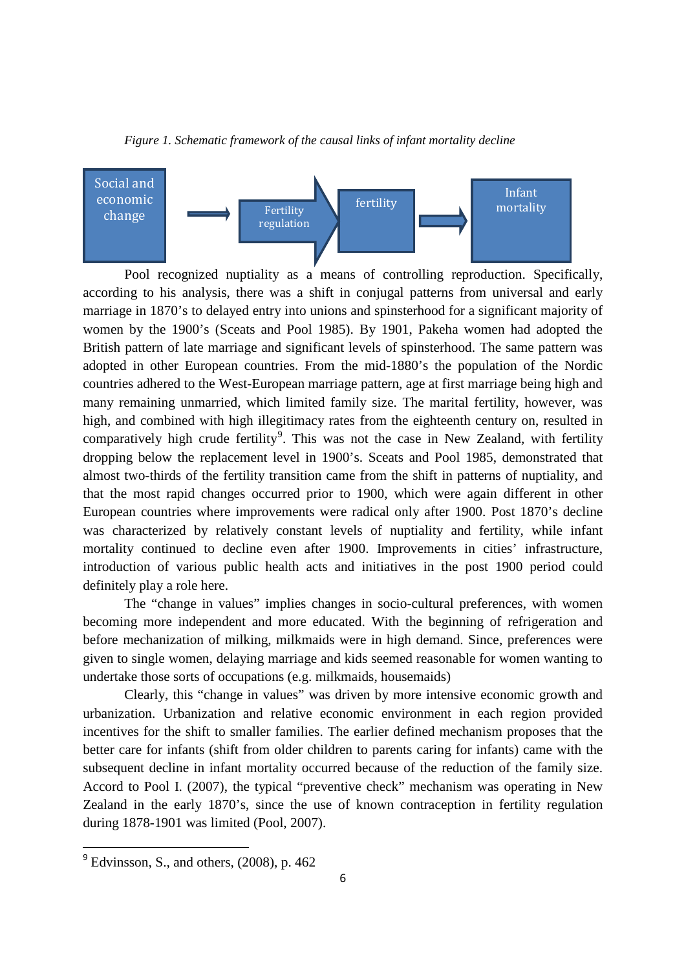



Pool recognized nuptiality as a means of controlling reproduction. Specifically, according to his analysis, there was a shift in conjugal patterns from universal and early marriage in 1870's to delayed entry into unions and spinsterhood for a significant majority of women by the 1900's (Sceats and Pool 1985). By 1901, Pakeha women had adopted the British pattern of late marriage and significant levels of spinsterhood. The same pattern was adopted in other European countries. From the mid-1880's the population of the Nordic countries adhered to the West-European marriage pattern, age at first marriage being high and many remaining unmarried, which limited family size. The marital fertility, however, was high, and combined with high illegitimacy rates from the eighteenth century on, resulted in comparatively high crude fertility<sup>[9](#page-5-0)</sup>. This was not the case in New Zealand, with fertility dropping below the replacement level in 1900's. Sceats and Pool 1985, demonstrated that almost two-thirds of the fertility transition came from the shift in patterns of nuptiality, and that the most rapid changes occurred prior to 1900, which were again different in other European countries where improvements were radical only after 1900. Post 1870's decline was characterized by relatively constant levels of nuptiality and fertility, while infant mortality continued to decline even after 1900. Improvements in cities' infrastructure, introduction of various public health acts and initiatives in the post 1900 period could definitely play a role here.

The "change in values" implies changes in socio-cultural preferences, with women becoming more independent and more educated. With the beginning of refrigeration and before mechanization of milking, milkmaids were in high demand. Since, preferences were given to single women, delaying marriage and kids seemed reasonable for women wanting to undertake those sorts of occupations (e.g. milkmaids, housemaids)

Clearly, this "change in values" was driven by more intensive economic growth and urbanization. Urbanization and relative economic environment in each region provided incentives for the shift to smaller families. The earlier defined mechanism proposes that the better care for infants (shift from older children to parents caring for infants) came with the subsequent decline in infant mortality occurred because of the reduction of the family size. Accord to Pool I. (2007), the typical "preventive check" mechanism was operating in New Zealand in the early 1870's, since the use of known contraception in fertility regulation during 1878-1901 was limited (Pool, 2007).

<span id="page-5-0"></span> $<sup>9</sup>$  Edvinsson, S., and others, (2008), p. 462</sup>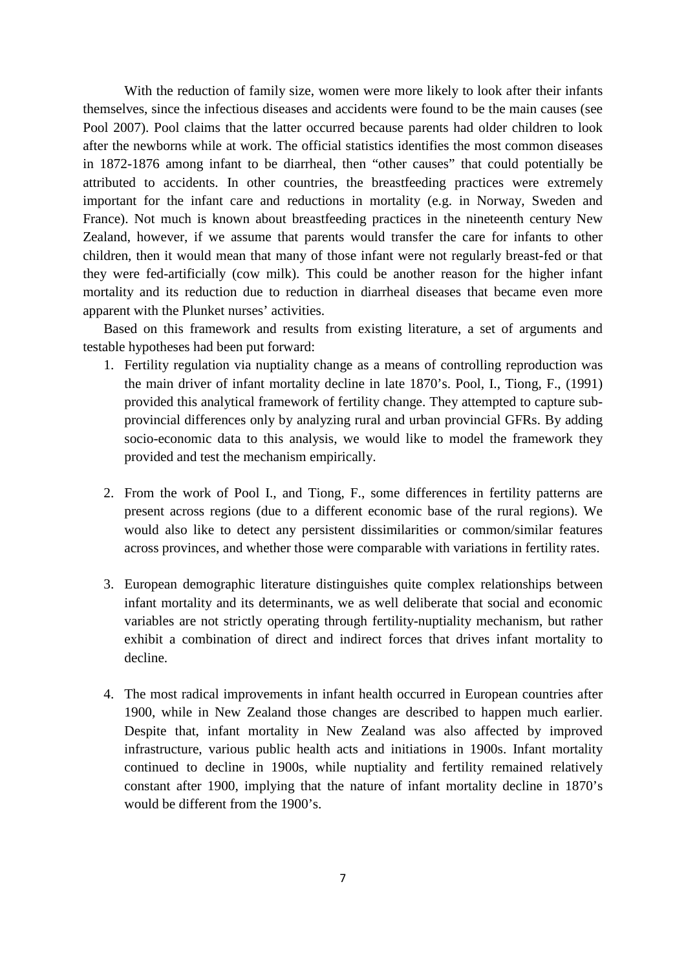With the reduction of family size, women were more likely to look after their infants themselves, since the infectious diseases and accidents were found to be the main causes (see Pool 2007). Pool claims that the latter occurred because parents had older children to look after the newborns while at work. The official statistics identifies the most common diseases in 1872-1876 among infant to be diarrheal, then "other causes" that could potentially be attributed to accidents. In other countries, the breastfeeding practices were extremely important for the infant care and reductions in mortality (e.g. in Norway, Sweden and France). Not much is known about breastfeeding practices in the nineteenth century New Zealand, however, if we assume that parents would transfer the care for infants to other children, then it would mean that many of those infant were not regularly breast-fed or that they were fed-artificially (cow milk). This could be another reason for the higher infant mortality and its reduction due to reduction in diarrheal diseases that became even more apparent with the Plunket nurses' activities.

Based on this framework and results from existing literature, a set of arguments and testable hypotheses had been put forward:

- 1. Fertility regulation via nuptiality change as a means of controlling reproduction was the main driver of infant mortality decline in late 1870's. Pool, I., Tiong, F., (1991) provided this analytical framework of fertility change. They attempted to capture subprovincial differences only by analyzing rural and urban provincial GFRs. By adding socio-economic data to this analysis, we would like to model the framework they provided and test the mechanism empirically.
- 2. From the work of Pool I., and Tiong, F., some differences in fertility patterns are present across regions (due to a different economic base of the rural regions). We would also like to detect any persistent dissimilarities or common/similar features across provinces, and whether those were comparable with variations in fertility rates.
- 3. European demographic literature distinguishes quite complex relationships between infant mortality and its determinants, we as well deliberate that social and economic variables are not strictly operating through fertility-nuptiality mechanism, but rather exhibit a combination of direct and indirect forces that drives infant mortality to decline.
- 4. The most radical improvements in infant health occurred in European countries after 1900, while in New Zealand those changes are described to happen much earlier. Despite that, infant mortality in New Zealand was also affected by improved infrastructure, various public health acts and initiations in 1900s. Infant mortality continued to decline in 1900s, while nuptiality and fertility remained relatively constant after 1900, implying that the nature of infant mortality decline in 1870's would be different from the 1900's.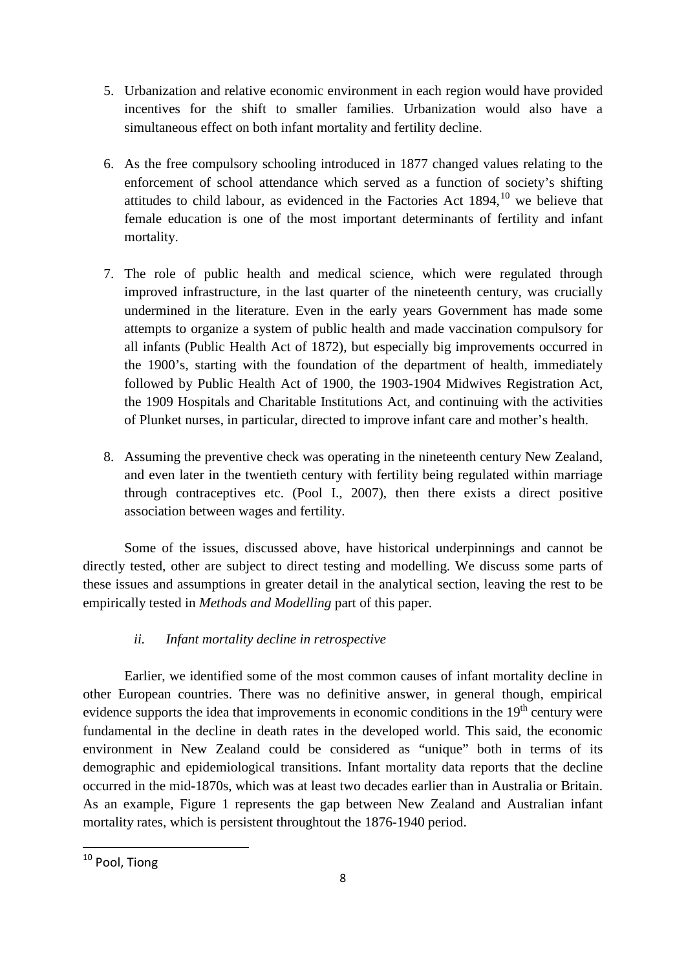- 5. Urbanization and relative economic environment in each region would have provided incentives for the shift to smaller families. Urbanization would also have a simultaneous effect on both infant mortality and fertility decline.
- 6. As the free compulsory schooling introduced in 1877 changed values relating to the enforcement of school attendance which served as a function of society's shifting attitudes to child labour, as evidenced in the Factories Act  $1894$ ,  $10$  we believe that female education is one of the most important determinants of fertility and infant mortality.
- 7. The role of public health and medical science, which were regulated through improved infrastructure, in the last quarter of the nineteenth century, was crucially undermined in the literature. Even in the early years Government has made some attempts to organize a system of public health and made vaccination compulsory for all infants (Public Health Act of 1872), but especially big improvements occurred in the 1900's, starting with the foundation of the department of health, immediately followed by Public Health Act of 1900, the 1903-1904 Midwives Registration Act, the 1909 Hospitals and Charitable Institutions Act, and continuing with the activities of Plunket nurses, in particular, directed to improve infant care and mother's health.
- 8. Assuming the preventive check was operating in the nineteenth century New Zealand, and even later in the twentieth century with fertility being regulated within marriage through contraceptives etc. (Pool I., 2007), then there exists a direct positive association between wages and fertility.

Some of the issues, discussed above, have historical underpinnings and cannot be directly tested, other are subject to direct testing and modelling. We discuss some parts of these issues and assumptions in greater detail in the analytical section, leaving the rest to be empirically tested in *Methods and Modelling* part of this paper.

# *ii. Infant mortality decline in retrospective*

Earlier, we identified some of the most common causes of infant mortality decline in other European countries. There was no definitive answer, in general though, empirical evidence supports the idea that improvements in economic conditions in the  $19<sup>th</sup>$  century were fundamental in the decline in death rates in the developed world. This said, the economic environment in New Zealand could be considered as "unique" both in terms of its demographic and epidemiological transitions. Infant mortality data reports that the decline occurred in the mid-1870s, which was at least two decades earlier than in Australia or Britain. As an example, Figure 1 represents the gap between New Zealand and Australian infant mortality rates, which is persistent throughtout the 1876-1940 period.

<span id="page-7-0"></span><sup>&</sup>lt;sup>10</sup> Pool, Tiong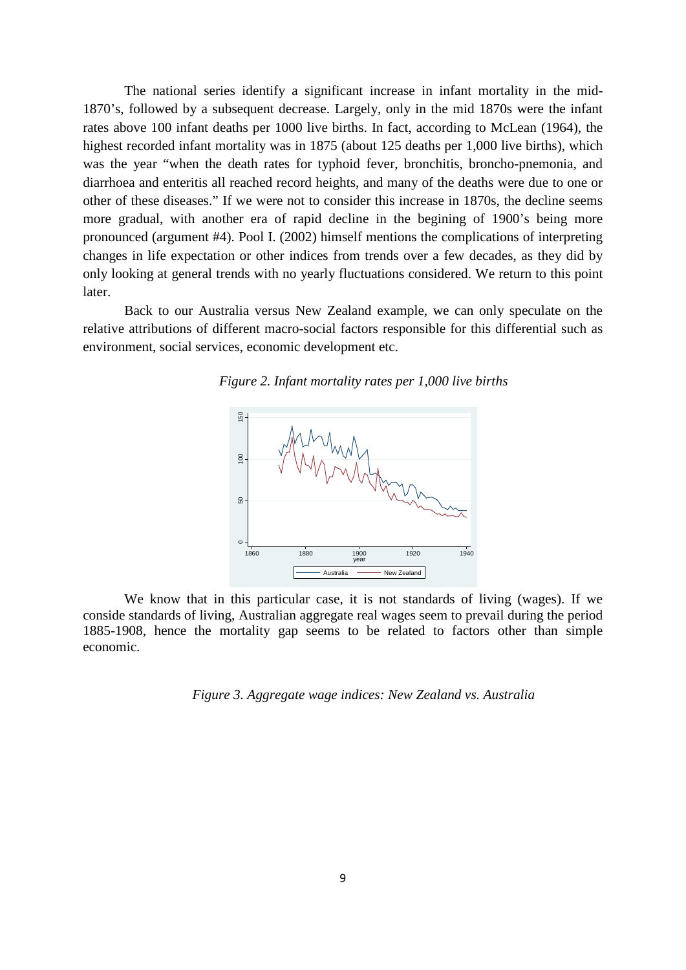The national series identify a significant increase in infant mortality in the mid-1870's, followed by a subsequent decrease. Largely, only in the mid 1870s were the infant rates above 100 infant deaths per 1000 live births. In fact, according to McLean (1964), the highest recorded infant mortality was in 1875 (about 125 deaths per 1,000 live births), which was the year "when the death rates for typhoid fever, bronchitis, broncho-pnemonia, and diarrhoea and enteritis all reached record heights, and many of the deaths were due to one or other of these diseases." If we were not to consider this increase in 1870s, the decline seems more gradual, with another era of rapid decline in the begining of 1900's being more pronounced (argument #4). Pool I. (2002) himself mentions the complications of interpreting changes in life expectation or other indices from trends over a few decades, as they did by only looking at general trends with no yearly fluctuations considered. We return to this point later.

Back to our Australia versus New Zealand example, we can only speculate on the relative attributions of different macro-social factors responsible for this differential such as environment, social services, economic development etc.





We know that in this particular case, it is not standards of living (wages). If we conside standards of living, Australian aggregate real wages seem to prevail during the period 1885-1908, hence the mortality gap seems to be related to factors other than simple economic.

*Figure 3. Aggregate wage indices: New Zealand vs. Australia*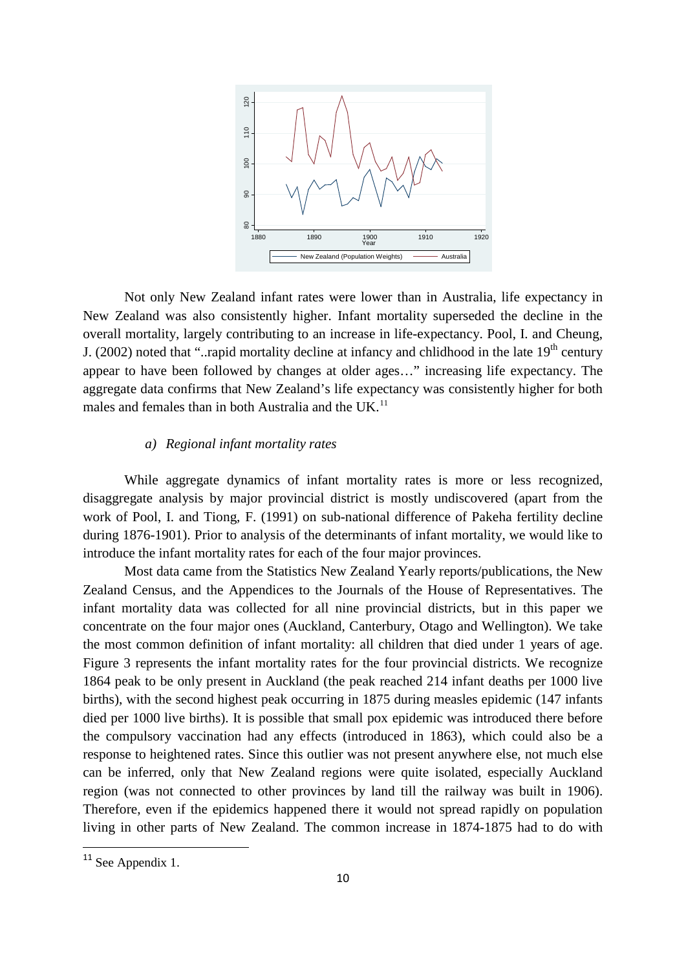

Not only New Zealand infant rates were lower than in Australia, life expectancy in New Zealand was also consistently higher. Infant mortality superseded the decline in the overall mortality, largely contributing to an increase in life-expectancy. Pool, I. and Cheung, J. (2002) noted that "..rapid mortality decline at infancy and chlidhood in the late  $19<sup>th</sup>$  century appear to have been followed by changes at older ages…" increasing life expectancy. The aggregate data confirms that New Zealand's life expectancy was consistently higher for both males and females than in both Australia and the UK.<sup>[11](#page-9-0)</sup>

# *a) Regional infant mortality rates*

While aggregate dynamics of infant mortality rates is more or less recognized, disaggregate analysis by major provincial district is mostly undiscovered (apart from the work of Pool, I. and Tiong, F. (1991) on sub-national difference of Pakeha fertility decline during 1876-1901). Prior to analysis of the determinants of infant mortality, we would like to introduce the infant mortality rates for each of the four major provinces.

Most data came from the Statistics New Zealand Yearly reports/publications, the New Zealand Census, and the Appendices to the Journals of the House of Representatives. The infant mortality data was collected for all nine provincial districts, but in this paper we concentrate on the four major ones (Auckland, Canterbury, Otago and Wellington). We take the most common definition of infant mortality: all children that died under 1 years of age. Figure 3 represents the infant mortality rates for the four provincial districts. We recognize 1864 peak to be only present in Auckland (the peak reached 214 infant deaths per 1000 live births), with the second highest peak occurring in 1875 during measles epidemic (147 infants died per 1000 live births). It is possible that small pox epidemic was introduced there before the compulsory vaccination had any effects (introduced in 1863), which could also be a response to heightened rates. Since this outlier was not present anywhere else, not much else can be inferred, only that New Zealand regions were quite isolated, especially Auckland region (was not connected to other provinces by land till the railway was built in 1906). Therefore, even if the epidemics happened there it would not spread rapidly on population living in other parts of New Zealand. The common increase in 1874-1875 had to do with

<span id="page-9-0"></span><sup>&</sup>lt;sup>11</sup> See Appendix 1.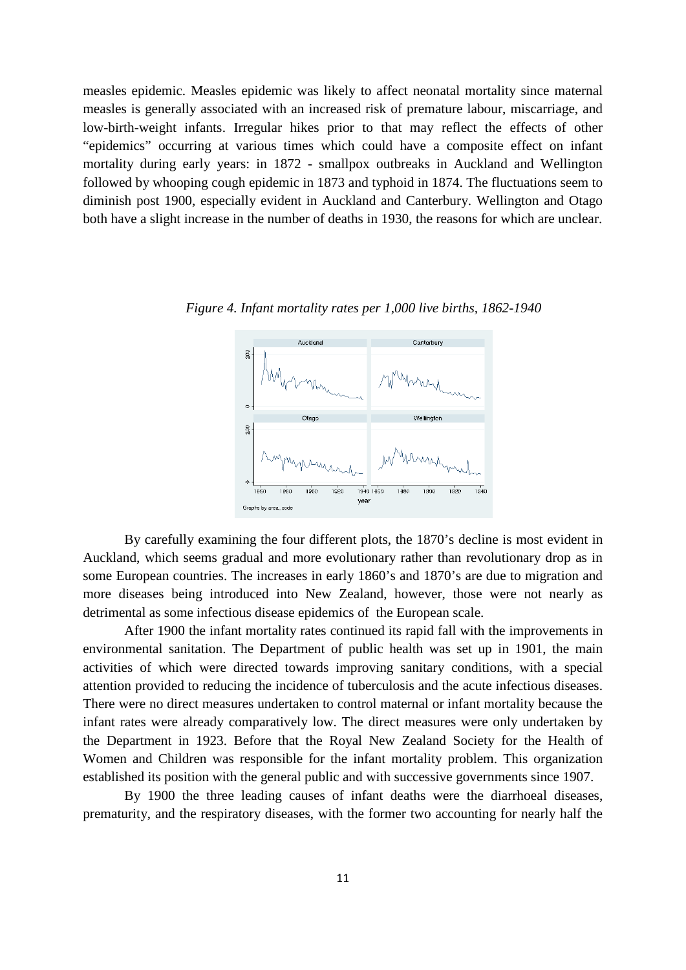measles epidemic. Measles epidemic was likely to affect neonatal mortality since maternal measles is generally associated with an increased risk of premature labour, miscarriage, and low-birth-weight infants. Irregular hikes prior to that may reflect the effects of other "epidemics" occurring at various times which could have a composite effect on infant mortality during early years: in 1872 - smallpox outbreaks in Auckland and Wellington followed by whooping cough epidemic in 1873 and typhoid in 1874. The fluctuations seem to diminish post 1900, especially evident in Auckland and Canterbury. Wellington and Otago both have a slight increase in the number of deaths in 1930, the reasons for which are unclear.

#### Aucklan Canterbury

*Figure 4. Infant mortality rates per 1,000 live births, 1862-1940*



By carefully examining the four different plots, the 1870's decline is most evident in Auckland, which seems gradual and more evolutionary rather than revolutionary drop as in some European countries. The increases in early 1860's and 1870's are due to migration and more diseases being introduced into New Zealand, however, those were not nearly as detrimental as some infectious disease epidemics of the European scale.

After 1900 the infant mortality rates continued its rapid fall with the improvements in environmental sanitation. The Department of public health was set up in 1901, the main activities of which were directed towards improving sanitary conditions, with a special attention provided to reducing the incidence of tuberculosis and the acute infectious diseases. There were no direct measures undertaken to control maternal or infant mortality because the infant rates were already comparatively low. The direct measures were only undertaken by the Department in 1923. Before that the Royal New Zealand Society for the Health of Women and Children was responsible for the infant mortality problem. This organization established its position with the general public and with successive governments since 1907.

By 1900 the three leading causes of infant deaths were the diarrhoeal diseases, prematurity, and the respiratory diseases, with the former two accounting for nearly half the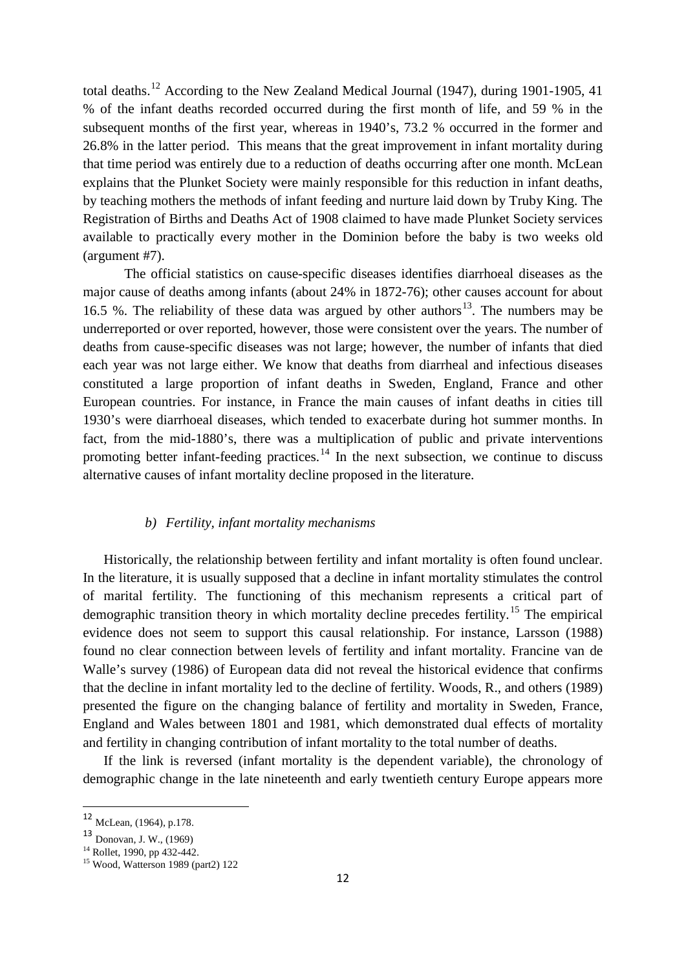total deaths.<sup>[12](#page-11-0)</sup> According to the New Zealand Medical Journal (1947), during 1901-1905, 41 % of the infant deaths recorded occurred during the first month of life, and 59 % in the subsequent months of the first year, whereas in 1940's, 73.2 % occurred in the former and 26.8% in the latter period. This means that the great improvement in infant mortality during that time period was entirely due to a reduction of deaths occurring after one month. McLean explains that the Plunket Society were mainly responsible for this reduction in infant deaths, by teaching mothers the methods of infant feeding and nurture laid down by Truby King. The Registration of Births and Deaths Act of 1908 claimed to have made Plunket Society services available to practically every mother in the Dominion before the baby is two weeks old (argument #7).

The official statistics on cause-specific diseases identifies diarrhoeal diseases as the major cause of deaths among infants (about 24% in 1872-76); other causes account for about 16.5 %. The reliability of these data was argued by other authors [13.](#page-11-1) The numbers may be underreported or over reported, however, those were consistent over the years. The number of deaths from cause-specific diseases was not large; however, the number of infants that died each year was not large either. We know that deaths from diarrheal and infectious diseases constituted a large proportion of infant deaths in Sweden, England, France and other European countries. For instance, in France the main causes of infant deaths in cities till 1930's were diarrhoeal diseases, which tended to exacerbate during hot summer months. In fact, from the mid-1880's, there was a multiplication of public and private interventions promoting better infant-feeding practices.<sup>[14](#page-11-2)</sup> In the next subsection, we continue to discuss alternative causes of infant mortality decline proposed in the literature.

# *b) Fertility, infant mortality mechanisms*

Historically, the relationship between fertility and infant mortality is often found unclear. In the literature, it is usually supposed that a decline in infant mortality stimulates the control of marital fertility. The functioning of this mechanism represents a critical part of demographic transition theory in which mortality decline precedes fertility.<sup>[15](#page-11-3)</sup> The empirical evidence does not seem to support this causal relationship. For instance, Larsson (1988) found no clear connection between levels of fertility and infant mortality. Francine van de Walle's survey (1986) of European data did not reveal the historical evidence that confirms that the decline in infant mortality led to the decline of fertility. Woods, R., and others (1989) presented the figure on the changing balance of fertility and mortality in Sweden, France, England and Wales between 1801 and 1981, which demonstrated dual effects of mortality and fertility in changing contribution of infant mortality to the total number of deaths.

If the link is reversed (infant mortality is the dependent variable), the chronology of demographic change in the late nineteenth and early twentieth century Europe appears more

<span id="page-11-0"></span> <sup>12</sup> McLean, (1964), p.178.

<span id="page-11-1"></span> $13$  Donovan, J. W., (1969)<br><sup>14</sup> Rollet, 1990, pp 432-442.

<span id="page-11-3"></span><span id="page-11-2"></span> $15$  Wood, Watterson 1989 (part2) 122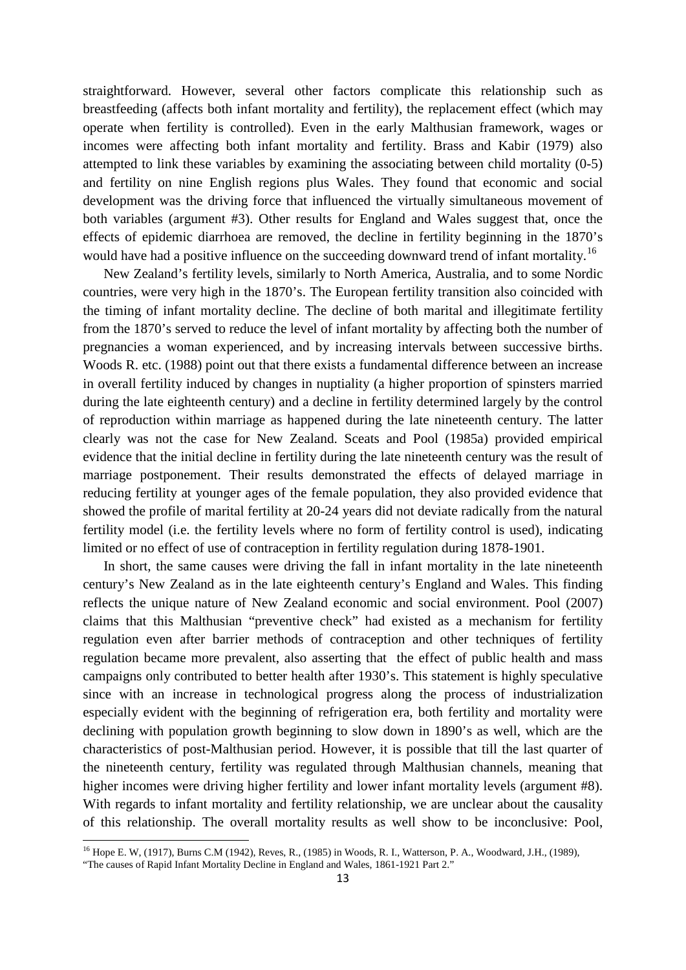straightforward. However, several other factors complicate this relationship such as breastfeeding (affects both infant mortality and fertility), the replacement effect (which may operate when fertility is controlled). Even in the early Malthusian framework, wages or incomes were affecting both infant mortality and fertility. Brass and Kabir (1979) also attempted to link these variables by examining the associating between child mortality (0-5) and fertility on nine English regions plus Wales. They found that economic and social development was the driving force that influenced the virtually simultaneous movement of both variables (argument #3). Other results for England and Wales suggest that, once the effects of epidemic diarrhoea are removed, the decline in fertility beginning in the 1870's would have had a positive influence on the succeeding downward trend of infant mortality.<sup>[16](#page-12-0)</sup>

New Zealand's fertility levels, similarly to North America, Australia, and to some Nordic countries, were very high in the 1870's. The European fertility transition also coincided with the timing of infant mortality decline. The decline of both marital and illegitimate fertility from the 1870's served to reduce the level of infant mortality by affecting both the number of pregnancies a woman experienced, and by increasing intervals between successive births. Woods R. etc. (1988) point out that there exists a fundamental difference between an increase in overall fertility induced by changes in nuptiality (a higher proportion of spinsters married during the late eighteenth century) and a decline in fertility determined largely by the control of reproduction within marriage as happened during the late nineteenth century. The latter clearly was not the case for New Zealand. Sceats and Pool (1985a) provided empirical evidence that the initial decline in fertility during the late nineteenth century was the result of marriage postponement. Their results demonstrated the effects of delayed marriage in reducing fertility at younger ages of the female population, they also provided evidence that showed the profile of marital fertility at 20-24 years did not deviate radically from the natural fertility model (i.e. the fertility levels where no form of fertility control is used), indicating limited or no effect of use of contraception in fertility regulation during 1878-1901.

In short, the same causes were driving the fall in infant mortality in the late nineteenth century's New Zealand as in the late eighteenth century's England and Wales. This finding reflects the unique nature of New Zealand economic and social environment. Pool (2007) claims that this Malthusian "preventive check" had existed as a mechanism for fertility regulation even after barrier methods of contraception and other techniques of fertility regulation became more prevalent, also asserting that the effect of public health and mass campaigns only contributed to better health after 1930's. This statement is highly speculative since with an increase in technological progress along the process of industrialization especially evident with the beginning of refrigeration era, both fertility and mortality were declining with population growth beginning to slow down in 1890's as well, which are the characteristics of post-Malthusian period. However, it is possible that till the last quarter of the nineteenth century, fertility was regulated through Malthusian channels, meaning that higher incomes were driving higher fertility and lower infant mortality levels (argument #8). With regards to infant mortality and fertility relationship, we are unclear about the causality of this relationship. The overall mortality results as well show to be inconclusive: Pool,

<u>.</u>

<span id="page-12-0"></span><sup>16</sup> Hope E. W, (1917), Burns C.M (1942), Reves, R., (1985) in Woods, R. I., Watterson, P. A., Woodward, J.H., (1989),

<sup>&</sup>quot;The causes of Rapid Infant Mortality Decline in England and Wales, 1861-1921 Part 2."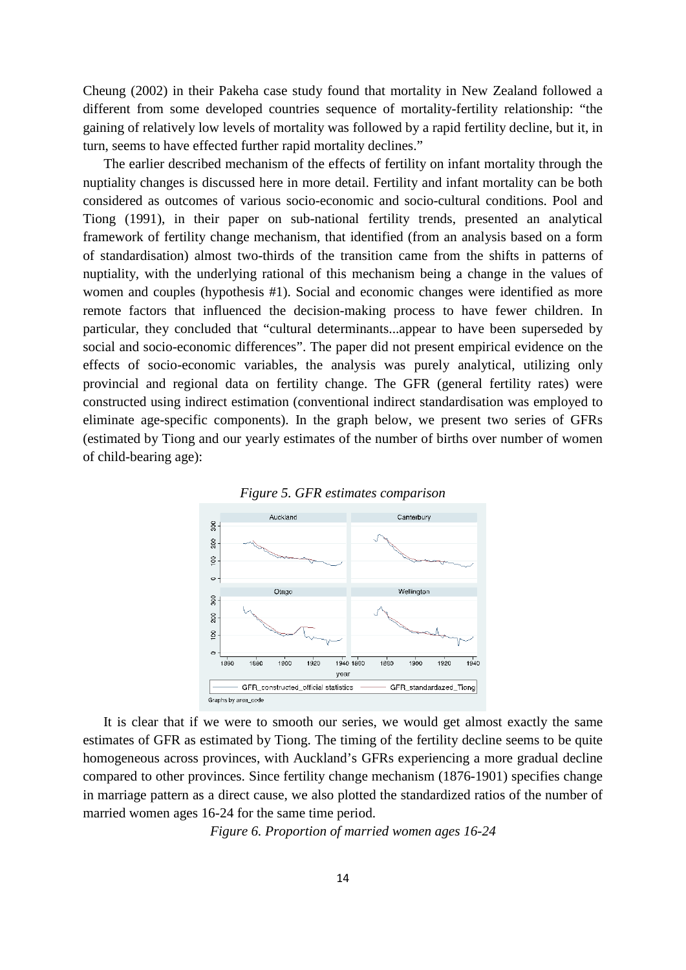Cheung (2002) in their Pakeha case study found that mortality in New Zealand followed a different from some developed countries sequence of mortality-fertility relationship: "the gaining of relatively low levels of mortality was followed by a rapid fertility decline, but it, in turn, seems to have effected further rapid mortality declines."

The earlier described mechanism of the effects of fertility on infant mortality through the nuptiality changes is discussed here in more detail. Fertility and infant mortality can be both considered as outcomes of various socio-economic and socio-cultural conditions. Pool and Tiong (1991), in their paper on sub-national fertility trends, presented an analytical framework of fertility change mechanism, that identified (from an analysis based on a form of standardisation) almost two-thirds of the transition came from the shifts in patterns of nuptiality, with the underlying rational of this mechanism being a change in the values of women and couples (hypothesis #1). Social and economic changes were identified as more remote factors that influenced the decision-making process to have fewer children. In particular, they concluded that "cultural determinants...appear to have been superseded by social and socio-economic differences". The paper did not present empirical evidence on the effects of socio-economic variables, the analysis was purely analytical, utilizing only provincial and regional data on fertility change. The GFR (general fertility rates) were constructed using indirect estimation (conventional indirect standardisation was employed to eliminate age-specific components). In the graph below, we present two series of GFRs (estimated by Tiong and our yearly estimates of the number of births over number of women of child-bearing age):





It is clear that if we were to smooth our series, we would get almost exactly the same estimates of GFR as estimated by Tiong. The timing of the fertility decline seems to be quite homogeneous across provinces, with Auckland's GFRs experiencing a more gradual decline compared to other provinces. Since fertility change mechanism (1876-1901) specifies change in marriage pattern as a direct cause, we also plotted the standardized ratios of the number of married women ages 16-24 for the same time period.

*Figure 6. Proportion of married women ages 16-24*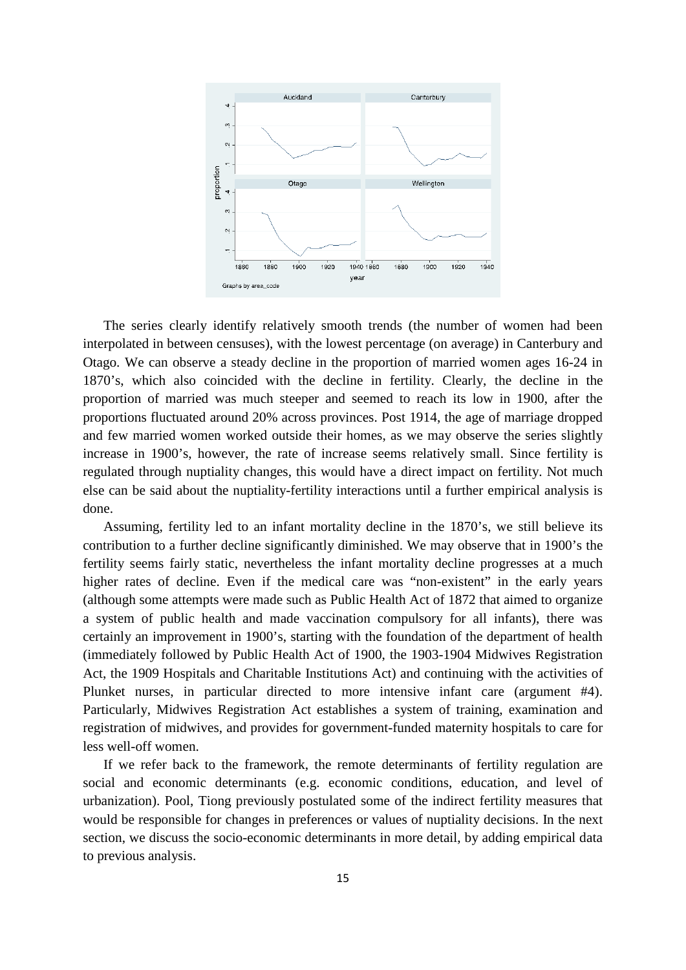

The series clearly identify relatively smooth trends (the number of women had been interpolated in between censuses), with the lowest percentage (on average) in Canterbury and Otago. We can observe a steady decline in the proportion of married women ages 16-24 in 1870's, which also coincided with the decline in fertility. Clearly, the decline in the proportion of married was much steeper and seemed to reach its low in 1900, after the proportions fluctuated around 20% across provinces. Post 1914, the age of marriage dropped and few married women worked outside their homes, as we may observe the series slightly increase in 1900's, however, the rate of increase seems relatively small. Since fertility is regulated through nuptiality changes, this would have a direct impact on fertility. Not much else can be said about the nuptiality-fertility interactions until a further empirical analysis is done.

Assuming, fertility led to an infant mortality decline in the 1870's, we still believe its contribution to a further decline significantly diminished. We may observe that in 1900's the fertility seems fairly static, nevertheless the infant mortality decline progresses at a much higher rates of decline. Even if the medical care was "non-existent" in the early years (although some attempts were made such as Public Health Act of 1872 that aimed to organize a system of public health and made vaccination compulsory for all infants), there was certainly an improvement in 1900's, starting with the foundation of the department of health (immediately followed by Public Health Act of 1900, the 1903-1904 Midwives Registration Act, the 1909 Hospitals and Charitable Institutions Act) and continuing with the activities of Plunket nurses, in particular directed to more intensive infant care (argument #4). Particularly, Midwives Registration Act establishes a system of training, examination and registration of midwives, and provides for government-funded maternity hospitals to care for less well-off women.

If we refer back to the framework, the remote determinants of fertility regulation are social and economic determinants (e.g. economic conditions, education, and level of urbanization). Pool, Tiong previously postulated some of the indirect fertility measures that would be responsible for changes in preferences or values of nuptiality decisions. In the next section, we discuss the socio-economic determinants in more detail, by adding empirical data to previous analysis.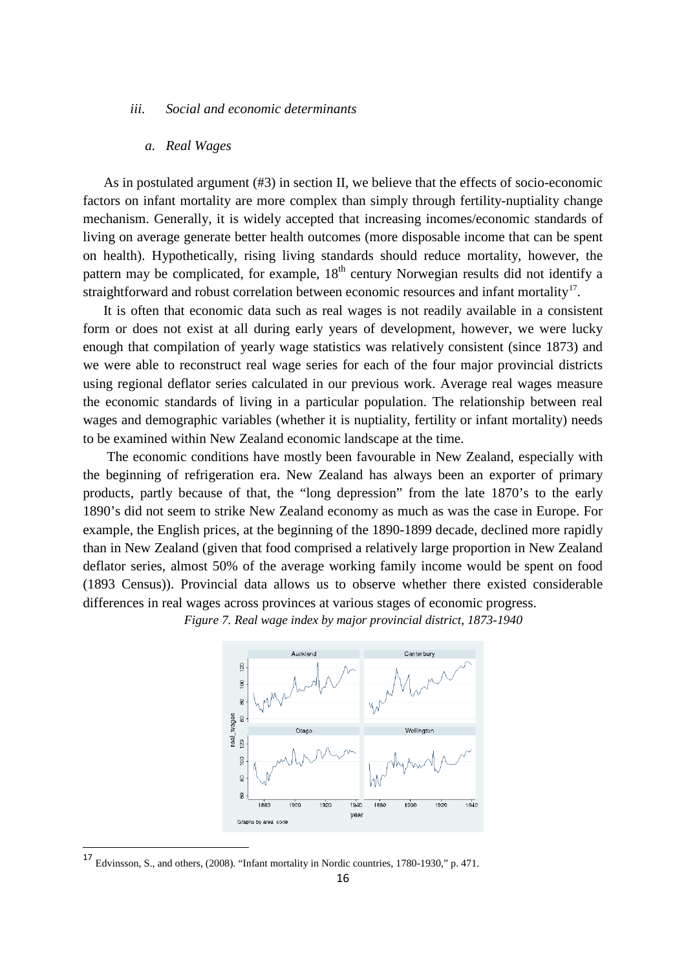#### *iii. Social and economic determinants*

### *a. Real Wages*

As in postulated argument (#3) in section II, we believe that the effects of socio-economic factors on infant mortality are more complex than simply through fertility-nuptiality change mechanism. Generally, it is widely accepted that increasing incomes/economic standards of living on average generate better health outcomes (more disposable income that can be spent on health). Hypothetically, rising living standards should reduce mortality, however, the pattern may be complicated, for example,  $18<sup>th</sup>$  century Norwegian results did not identify a straightforward and robust correlation between economic resources and infant mortality<sup>[17](#page-15-0)</sup>.

It is often that economic data such as real wages is not readily available in a consistent form or does not exist at all during early years of development, however, we were lucky enough that compilation of yearly wage statistics was relatively consistent (since 1873) and we were able to reconstruct real wage series for each of the four major provincial districts using regional deflator series calculated in our previous work. Average real wages measure the economic standards of living in a particular population. The relationship between real wages and demographic variables (whether it is nuptiality, fertility or infant mortality) needs to be examined within New Zealand economic landscape at the time.

The economic conditions have mostly been favourable in New Zealand, especially with the beginning of refrigeration era. New Zealand has always been an exporter of primary products, partly because of that, the "long depression" from the late 1870's to the early 1890's did not seem to strike New Zealand economy as much as was the case in Europe. For example, the English prices, at the beginning of the 1890-1899 decade, declined more rapidly than in New Zealand (given that food comprised a relatively large proportion in New Zealand deflator series, almost 50% of the average working family income would be spent on food (1893 Census)). Provincial data allows us to observe whether there existed considerable differences in real wages across provinces at various stages of economic progress.

*Figure 7. Real wage index by major provincial district, 1873-1940*



<span id="page-15-0"></span> <sup>17</sup> Edvinsson, S., and others, (2008). "Infant mortality in Nordic countries, 1780-1930," p. 471.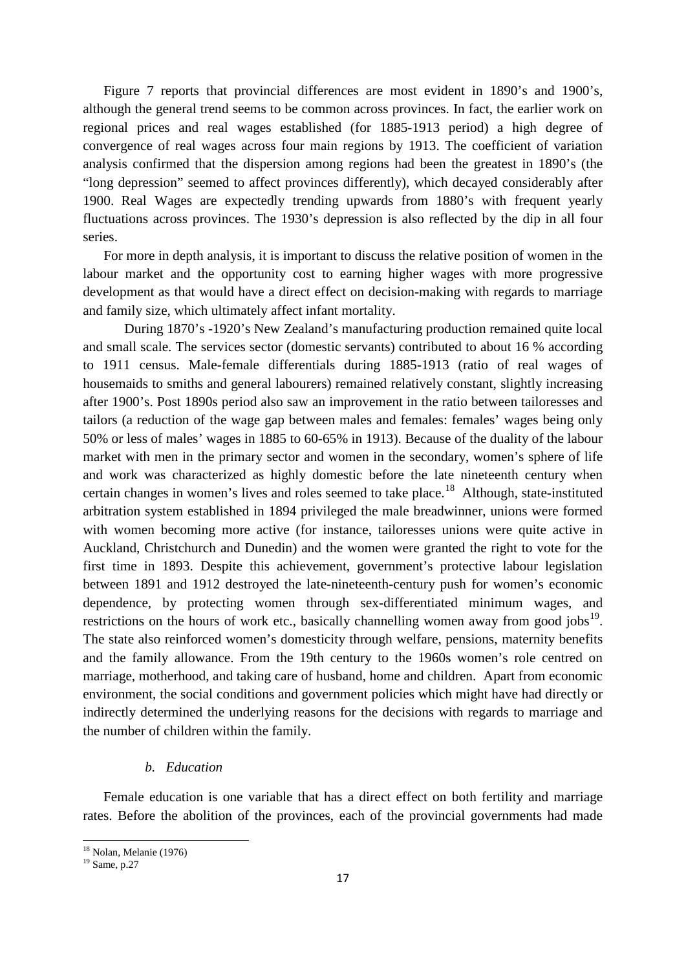Figure 7 reports that provincial differences are most evident in 1890's and 1900's, although the general trend seems to be common across provinces. In fact, the earlier work on regional prices and real wages established (for 1885-1913 period) a high degree of convergence of real wages across four main regions by 1913. The coefficient of variation analysis confirmed that the dispersion among regions had been the greatest in 1890's (the "long depression" seemed to affect provinces differently), which decayed considerably after 1900. Real Wages are expectedly trending upwards from 1880's with frequent yearly fluctuations across provinces. The 1930's depression is also reflected by the dip in all four series.

For more in depth analysis, it is important to discuss the relative position of women in the labour market and the opportunity cost to earning higher wages with more progressive development as that would have a direct effect on decision-making with regards to marriage and family size, which ultimately affect infant mortality.

During 1870's -1920's New Zealand's manufacturing production remained quite local and small scale. The services sector (domestic servants) contributed to about 16 % according to 1911 census. Male-female differentials during 1885-1913 (ratio of real wages of housemaids to smiths and general labourers) remained relatively constant, slightly increasing after 1900's. Post 1890s period also saw an improvement in the ratio between tailoresses and tailors (a reduction of the wage gap between males and females: females' wages being only 50% or less of males' wages in 1885 to 60-65% in 1913). Because of the duality of the labour market with men in the primary sector and women in the secondary, women's sphere of life and work was characterized as highly domestic before the late nineteenth century when certain changes in women's lives and roles seemed to take place.<sup>18</sup> Although, state-instituted arbitration system established in 1894 privileged the male breadwinner, unions were formed with women becoming more active (for instance, tailoresses unions were quite active in Auckland, Christchurch and Dunedin) and the women were granted the right to vote for the first time in 1893. Despite this achievement, government's protective labour legislation between 1891 and 1912 destroyed the late-nineteenth-century push for women's economic dependence, by protecting women through sex-differentiated minimum wages, and restrictions on the hours of work etc., basically channelling women away from good jobs $19$ . The state also reinforced women's domesticity through welfare, pensions, maternity benefits and the family allowance. From the 19th century to the 1960s women's role centred on marriage, motherhood, and taking care of husband, home and children. Apart from economic environment, the social conditions and government policies which might have had directly or indirectly determined the underlying reasons for the decisions with regards to marriage and the number of children within the family.

## *b. Education*

Female education is one variable that has a direct effect on both fertility and marriage rates. Before the abolition of the provinces, each of the provincial governments had made

<u>.</u>

<span id="page-16-1"></span><span id="page-16-0"></span><sup>&</sup>lt;sup>18</sup> Nolan, Melanie (1976)<br><sup>19</sup> Same, p.27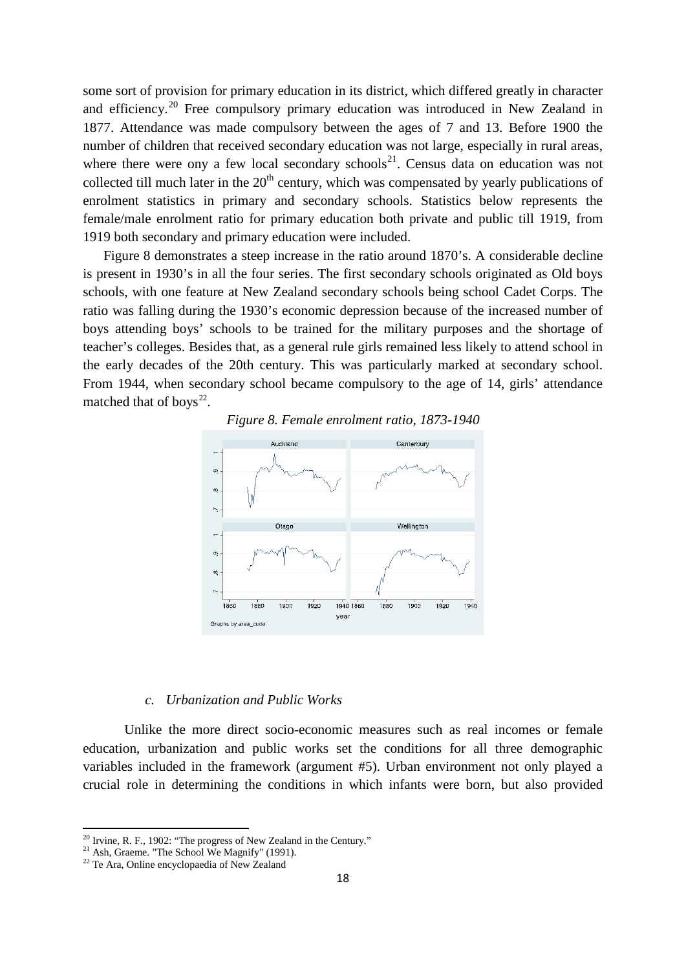some sort of provision for primary education in its district, which differed greatly in character and efficiency.[20](#page-17-0) Free compulsory primary education was introduced in New Zealand in 1877. Attendance was made compulsory between the ages of 7 and 13. Before 1900 the number of children that received secondary education was not large, especially in rural areas, where there were ony a few local secondary schools<sup>[21](#page-17-1)</sup>. Census data on education was not collected till much later in the  $20<sup>th</sup>$  century, which was compensated by yearly publications of enrolment statistics in primary and secondary schools. Statistics below represents the female/male enrolment ratio for primary education both private and public till 1919, from 1919 both secondary and primary education were included.

Figure 8 demonstrates a steep increase in the ratio around 1870's. A considerable decline is present in 1930's in all the four series. The first secondary schools originated as Old boys schools, with one feature at New Zealand secondary schools being school Cadet Corps. The ratio was falling during the 1930's economic depression because of the increased number of boys attending boys' schools to be trained for the military purposes and the shortage of teacher's colleges. Besides that, as a general rule girls remained less likely to attend school in the early decades of the 20th century. This was particularly marked at secondary school. From 1944, when secondary school became compulsory to the age of 14, girls' attendance matched that of boys $^{22}$  $^{22}$  $^{22}$ .



*Figure 8. Female enrolment ratio, 1873-1940*

#### *c. Urbanization and Public Works*

Unlike the more direct socio-economic measures such as real incomes or female education, urbanization and public works set the conditions for all three demographic variables included in the framework (argument #5). Urban environment not only played a crucial role in determining the conditions in which infants were born, but also provided

.<br>-

<span id="page-17-0"></span><sup>&</sup>lt;sup>20</sup> Irvine, R. F., 1902: "The progress of New Zealand in the Century."<br><sup>21</sup> Ash, Graeme. "The School We Magnify" (1991).<br><sup>22</sup> Te Ara, Online encyclopaedia of New Zealand

<span id="page-17-1"></span>

<span id="page-17-2"></span>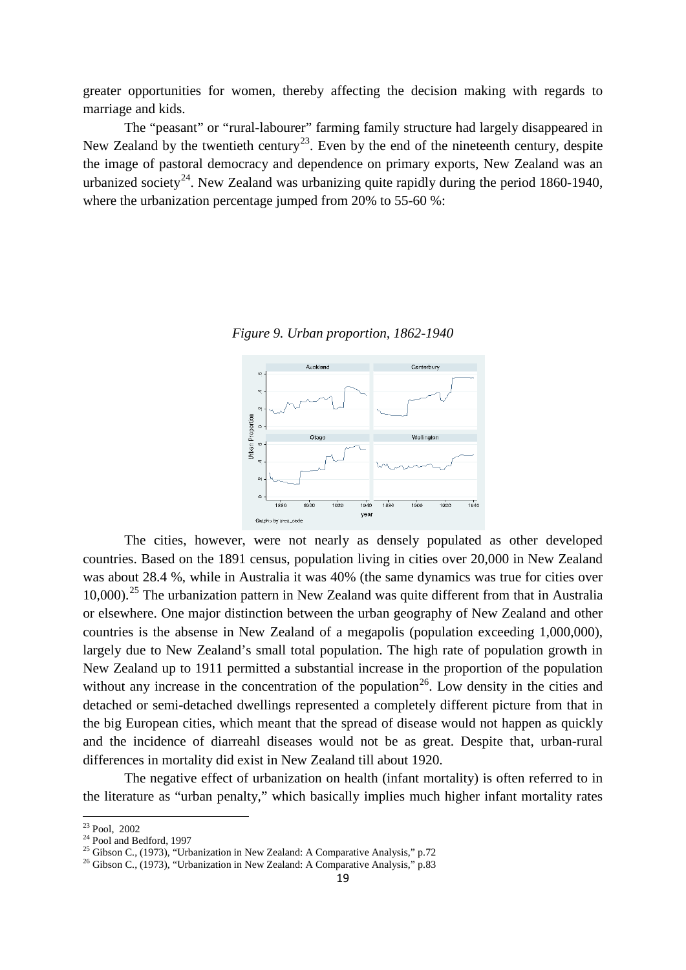greater opportunities for women, thereby affecting the decision making with regards to marriage and kids.

The "peasant" or "rural-labourer" farming family structure had largely disappeared in New Zealand by the twentieth century<sup>23</sup>. Even by the end of the nineteenth century, despite the image of pastoral democracy and dependence on primary exports, New Zealand was an urbanized society<sup>[24](#page-18-1)</sup>. New Zealand was urbanizing quite rapidly during the period 1860-1940, where the urbanization percentage jumped from 20% to 55-60 %:



*Figure 9. Urban proportion, 1862-1940*

The cities, however, were not nearly as densely populated as other developed countries. Based on the 1891 census, population living in cities over 20,000 in New Zealand was about 28.4 %, while in Australia it was 40% (the same dynamics was true for cities over 10.000).<sup>[25](#page-18-2)</sup> The urbanization pattern in New Zealand was quite different from that in Australia or elsewhere. One major distinction between the urban geography of New Zealand and other countries is the absense in New Zealand of a megapolis (population exceeding 1,000,000), largely due to New Zealand's small total population. The high rate of population growth in New Zealand up to 1911 permitted a substantial increase in the proportion of the population without any increase in the concentration of the population<sup>[26](#page-18-3)</sup>. Low density in the cities and detached or semi-detached dwellings represented a completely different picture from that in the big European cities, which meant that the spread of disease would not happen as quickly and the incidence of diarreahl diseases would not be as great. Despite that, urban-rural differences in mortality did exist in New Zealand till about 1920.

The negative effect of urbanization on health (infant mortality) is often referred to in the literature as "urban penalty," which basically implies much higher infant mortality rates

<span id="page-18-0"></span> $23$  Pool, 2002

<span id="page-18-3"></span><span id="page-18-2"></span>

<span id="page-18-1"></span><sup>&</sup>lt;sup>24</sup> Pool and Bedford, 1997<br><sup>25</sup> Gibson C., (1973), "Urbanization in New Zealand: A Comparative Analysis," p.72<br><sup>26</sup> Gibson C., (1973), "Urbanization in New Zealand: A Comparative Analysis," p.83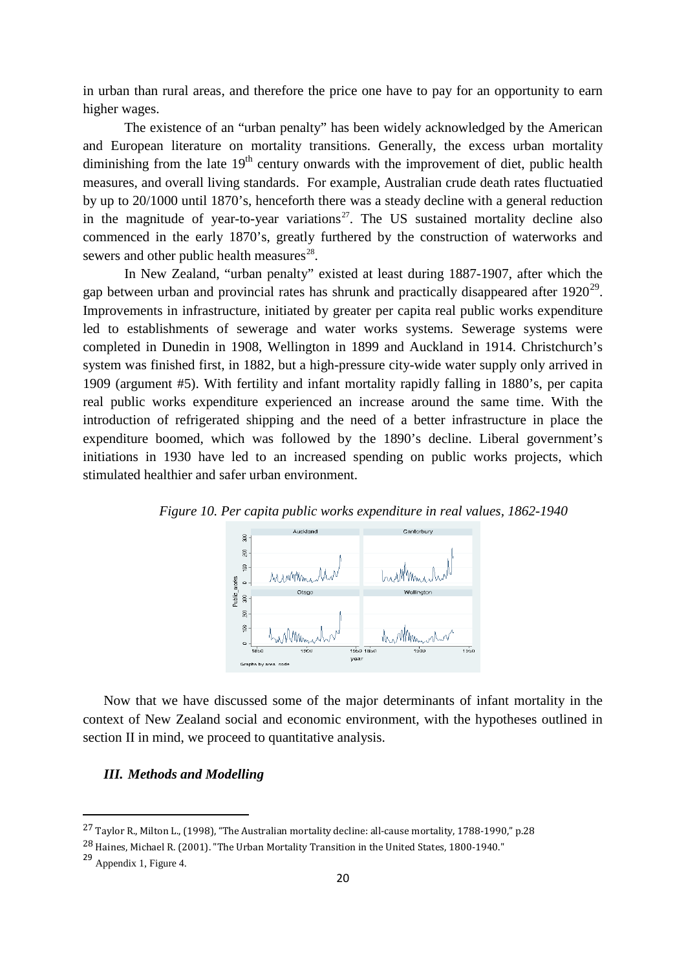in urban than rural areas, and therefore the price one have to pay for an opportunity to earn higher wages.

The existence of an "urban penalty" has been widely acknowledged by the American and European literature on mortality transitions. Generally, the excess urban mortality diminishing from the late  $19<sup>th</sup>$  century onwards with the improvement of diet, public health measures, and overall living standards. For example, Australian crude death rates fluctuatied by up to 20/1000 until 1870's, henceforth there was a steady decline with a general reduction in the magnitude of year-to-year variations<sup>27</sup>. The US sustained mortality decline also commenced in the early 1870's, greatly furthered by the construction of waterworks and sewers and other public health measures $^{28}$  $^{28}$  $^{28}$ .

In New Zealand, "urban penalty" existed at least during 1887-1907, after which the gap between urban and provincial rates has shrunk and practically disappeared after  $1920^{29}$  $1920^{29}$  $1920^{29}$ . Improvements in infrastructure, initiated by greater per capita real public works expenditure led to establishments of sewerage and water works systems. Sewerage systems were completed in Dunedin in 1908, Wellington in 1899 and Auckland in 1914. Christchurch's system was finished first, in 1882, but a high-pressure city-wide water supply only arrived in 1909 (argument #5). With fertility and infant mortality rapidly falling in 1880's, per capita real public works expenditure experienced an increase around the same time. With the introduction of refrigerated shipping and the need of a better infrastructure in place the expenditure boomed, which was followed by the 1890's decline. Liberal government's initiations in 1930 have led to an increased spending on public works projects, which stimulated healthier and safer urban environment.



*Figure 10. Per capita public works expenditure in real values, 1862-1940*

Now that we have discussed some of the major determinants of infant mortality in the context of New Zealand social and economic environment, with the hypotheses outlined in section II in mind, we proceed to quantitative analysis.

# *III. Methods and Modelling*

<u>.</u>

<span id="page-19-0"></span><sup>27</sup> Taylor R., Milton L., (1998), "The Australian mortality decline: all-cause mortality, 1788-1990," p.28

<span id="page-19-1"></span><sup>28</sup> Haines, Michael R. (2001). "The Urban Mortality Transition in the United States, 1800-1940."

<span id="page-19-2"></span><sup>29</sup> Appendix 1, Figure 4.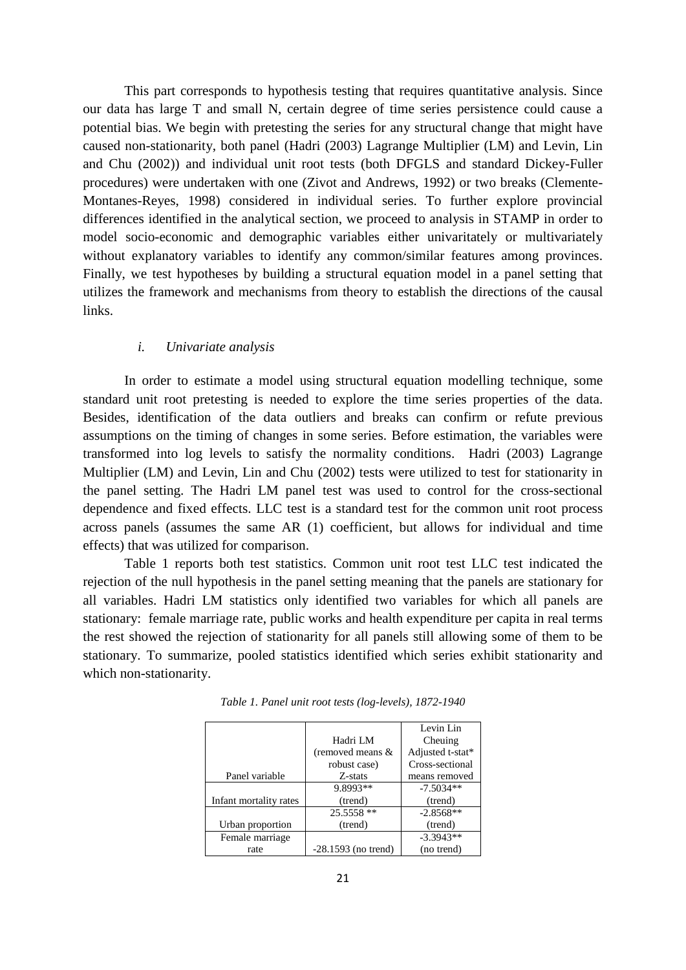This part corresponds to hypothesis testing that requires quantitative analysis. Since our data has large T and small N, certain degree of time series persistence could cause a potential bias. We begin with pretesting the series for any structural change that might have caused non-stationarity, both panel (Hadri (2003) Lagrange Multiplier (LM) and Levin, Lin and Chu (2002)) and individual unit root tests (both DFGLS and standard Dickey-Fuller procedures) were undertaken with one (Zivot and Andrews, 1992) or two breaks (Clemente-Montanes-Reyes, 1998) considered in individual series. To further explore provincial differences identified in the analytical section, we proceed to analysis in STAMP in order to model socio-economic and demographic variables either univaritately or multivariately without explanatory variables to identify any common/similar features among provinces. Finally, we test hypotheses by building a structural equation model in a panel setting that utilizes the framework and mechanisms from theory to establish the directions of the causal links.

#### *i. Univariate analysis*

In order to estimate a model using structural equation modelling technique, some standard unit root pretesting is needed to explore the time series properties of the data. Besides, identification of the data outliers and breaks can confirm or refute previous assumptions on the timing of changes in some series. Before estimation, the variables were transformed into log levels to satisfy the normality conditions. Hadri (2003) Lagrange Multiplier (LM) and Levin, Lin and Chu (2002) tests were utilized to test for stationarity in the panel setting. The Hadri LM panel test was used to control for the cross-sectional dependence and fixed effects. LLC test is a standard test for the common unit root process across panels (assumes the same AR (1) coefficient, but allows for individual and time effects) that was utilized for comparison.

Table 1 reports both test statistics. Common unit root test LLC test indicated the rejection of the null hypothesis in the panel setting meaning that the panels are stationary for all variables. Hadri LM statistics only identified two variables for which all panels are stationary: female marriage rate, public works and health expenditure per capita in real terms the rest showed the rejection of stationarity for all panels still allowing some of them to be stationary. To summarize, pooled statistics identified which series exhibit stationarity and which non-stationarity.

|                        |                       | Levin Lin        |
|------------------------|-----------------------|------------------|
|                        | Hadri LM              | Cheuing          |
|                        | (removed means &      | Adjusted t-stat* |
|                        | robust case)          | Cross-sectional  |
| Panel variable         | Z-stats               | means removed    |
|                        | 9.8993**              | $-7.5034**$      |
| Infant mortality rates | (trend)               | (trend)          |
|                        | 25.5558 **            | $-2.8568**$      |
| Urban proportion       | (trend)               | (trend)          |
| Female marriage        |                       | $-3.3943**$      |
| rate                   | $-28.1593$ (no trend) | (no trend)       |

*Table 1. Panel unit root tests (log-levels), 1872-1940*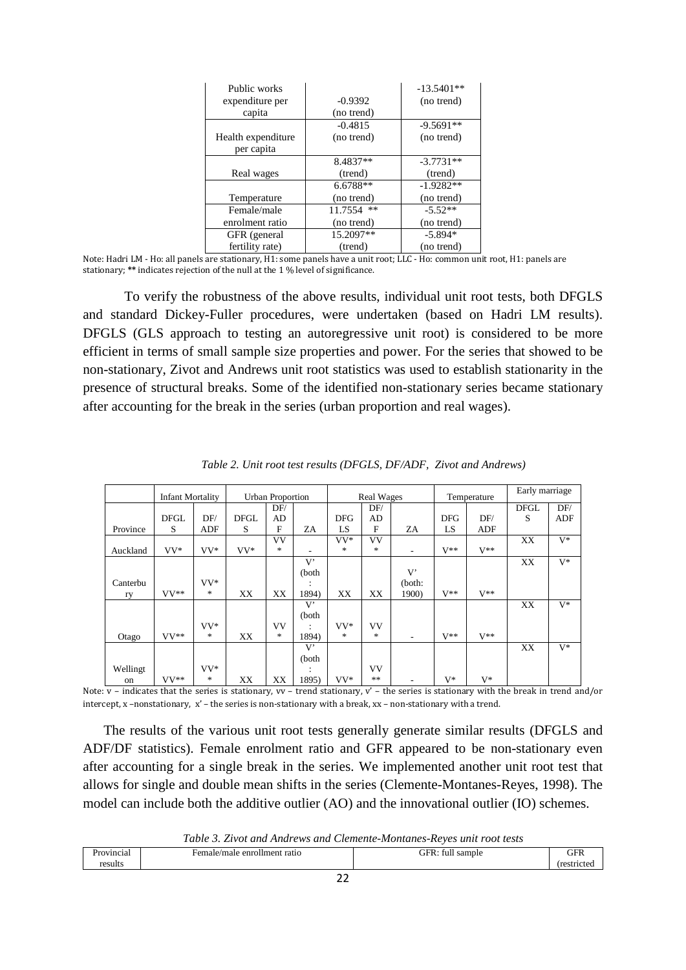| Public works       |            | $-13.5401**$ |
|--------------------|------------|--------------|
| expenditure per    | $-0.9392$  | (no trend)   |
| capita             | (no trend) |              |
|                    | $-0.4815$  | $-9.5691**$  |
| Health expenditure | (no trend) | (no trend)   |
| per capita         |            |              |
|                    | 8.4837**   | $-3.7731**$  |
| Real wages         | (trend)    | (trend)      |
|                    | 6.6788**   | $-1.9282**$  |
| Temperature        | (no trend) | (no trend)   |
| Female/male        | 11.7554 ** | $-5.52**$    |
| enrolment ratio    | (no trend) | (no trend)   |
| GFR (general       | 15.2097**  | $-5.894*$    |
| fertility rate)    | (trend)    | (no trend)   |

Note: Hadri LM - Ho: all panels are stationary, H1: some panels have a unit root; LLC - Ho: common unit root, H1: panels are stationary; **\*\*** indicates rejection of the null at the 1 % level of significance.

To verify the robustness of the above results, individual unit root tests, both DFGLS and standard Dickey-Fuller procedures, were undertaken (based on Hadri LM results). DFGLS (GLS approach to testing an autoregressive unit root) is considered to be more efficient in terms of small sample size properties and power. For the series that showed to be non-stationary, Zivot and Andrews unit root statistics was used to establish stationarity in the presence of structural breaks. Some of the identified non-stationary series became stationary after accounting for the break in the series (urban proportion and real wages).

|          | <b>Infant Mortality</b> |        |             | <b>Urban Proportion</b> |       |            | <b>Real Wages</b> |                          |            | Temperature | Early marriage |            |
|----------|-------------------------|--------|-------------|-------------------------|-------|------------|-------------------|--------------------------|------------|-------------|----------------|------------|
|          |                         |        |             | DF/                     |       |            | DF/               |                          |            |             | <b>DFGL</b>    | DF/        |
|          | <b>DFGL</b>             | DF/    | <b>DFGL</b> | AD                      |       | <b>DFG</b> | AD                |                          | <b>DFG</b> | DF/         | S              | <b>ADF</b> |
| Province | S                       | ADF    | S           | F                       | ZA    | LS         | F                 | ZA                       | LS         | ADF         |                |            |
|          |                         |        |             | VV                      |       | $VV^*$     | VV                |                          |            |             | XX             | $V^*$      |
| Auckland | $VV^*$                  | VV*    | $VV^*$      | *                       | ۰     | *          | *                 | $\overline{\phantom{a}}$ | $V^**$     | $V^{**}$    |                |            |
|          |                         |        |             |                         | V'    |            |                   |                          |            |             | XX             | $V^*$      |
|          |                         |        |             |                         | (both |            |                   | V                        |            |             |                |            |
| Canterbu |                         | VV*    |             |                         |       |            |                   | (both:                   |            |             |                |            |
| ry       | $VV**$                  | $\ast$ | XX          | XX                      | 1894) | XX         | XX                | 1900)                    | $V^**$     | $V^{**}$    |                |            |
|          |                         |        |             |                         | V'    |            |                   |                          |            |             | XX             | $V^*$      |
|          |                         |        |             |                         | (both |            |                   |                          |            |             |                |            |
|          |                         | $VV^*$ |             | <b>VV</b>               |       | VV*        | VV                |                          |            |             |                |            |
| Otago    | $VV**$                  | *      | XX          | *                       | 1894) | *          | *                 | ۰                        | $V^{**}$   | $V^**$      |                |            |
|          |                         |        |             |                         | V'    |            |                   |                          |            |             | XX             | $V^*$      |
|          |                         |        |             |                         | (both |            |                   |                          |            |             |                |            |
| Wellingt |                         | $VV^*$ |             |                         |       |            | VV                |                          |            |             |                |            |
| on       | $VV**$                  | $\ast$ | XX          | XX                      | 1895) | VV*        | **                | ٠                        | $V^*$      | $V^*$       |                |            |

*Table 2. Unit root test results (DFGLS, DF/ADF, Zivot and Andrews)*

Note:  $v$  – indicates that the series is stationary,  $vv$  – trend stationary,  $v'$  – the series is stationary with the break in trend and/or intercept, x –nonstationary, x' – the series is non-stationary with a break, xx – non-stationary with a trend.

The results of the various unit root tests generally generate similar results (DFGLS and ADF/DF statistics). Female enrolment ratio and GFR appeared to be non-stationary even after accounting for a single break in the series. We implemented another unit root test that allows for single and double mean shifts in the series (Clemente-Montanes-Reyes, 1998). The model can include both the additive outlier (AO) and the innovational outlier (IO) schemes.

| Table 3. Zivot and Andrews and Clemente-Montanes-Reyes unit root tests |
|------------------------------------------------------------------------|
|------------------------------------------------------------------------|

| ∩÷<br>m<br>.<br>. a | . .<br>$\begin{array}{cccccccccccccc} \multicolumn{4}{c }{\multicolumn{3}{c }{\multicolumn{3}{c }{\multicolumn{3}{c }{\multicolumn{3}{c }{\multicolumn{3}{c}}}} & \multicolumn{3}{c }{\multicolumn{3}{c }{\multicolumn{3}{c }{\multicolumn{3}{c }{\multicolumn{3}{c}}}} & \multicolumn{3}{c }{\multicolumn{3}{c }{\multicolumn{3}{c }{\multicolumn{3}{c }{\multicolumn{3}{c }{\multicolumn{3}{c}}}} & \multicolumn{3}{c }{\multicolumn{3}{c }{\multicolumn{3}{c }{\multicolumn{3}{$ |  |
|---------------------|-------------------------------------------------------------------------------------------------------------------------------------------------------------------------------------------------------------------------------------------------------------------------------------------------------------------------------------------------------------------------------------------------------------------------------------------------------------------------------------|--|
|                     |                                                                                                                                                                                                                                                                                                                                                                                                                                                                                     |  |
|                     |                                                                                                                                                                                                                                                                                                                                                                                                                                                                                     |  |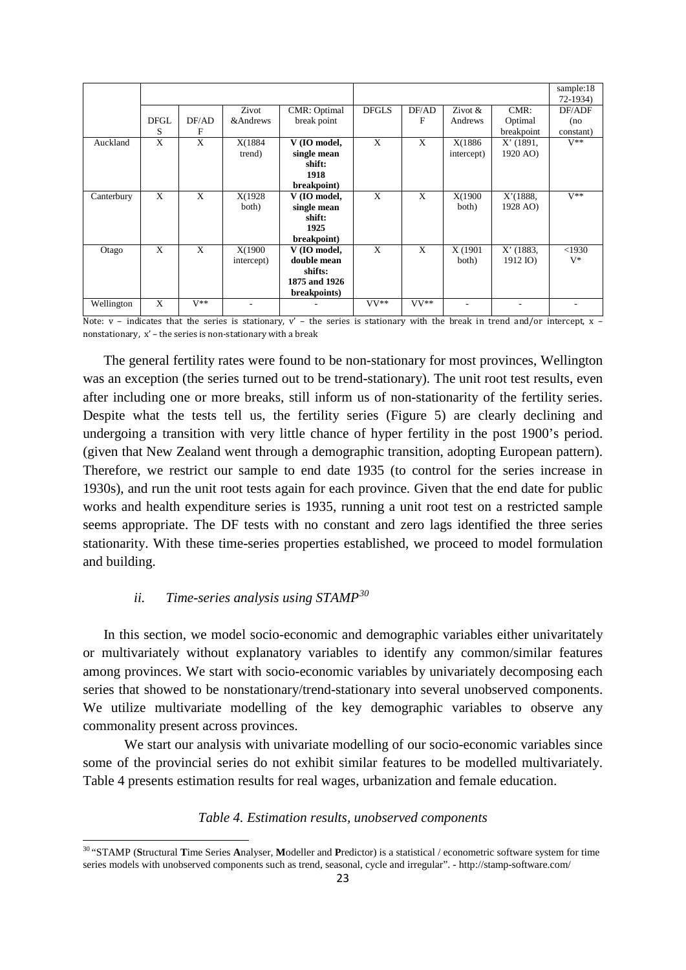|                            |            |               |              |        |            |             | sample:18<br>$72-1934$ |
|----------------------------|------------|---------------|--------------|--------|------------|-------------|------------------------|
|                            | Zivot      | CMR: Optimal  | <b>DFGLS</b> | DF/AD  | Zivot $&$  | $CMR$ :     | DF/ADF                 |
| <b>DFGL</b><br>DF/AD       | & Andrews  | break point   |              | F      | Andrews    | Optimal     | (no)                   |
| S<br>F                     |            |               |              |        |            | breakpoint  | constant)              |
| X<br>X<br>Auckland         | X(1884     | V (IO model,  | X            | X      | X(1886     | $X'$ (1891, | $V^{**}$               |
|                            | trend)     | single mean   |              |        | intercept) | 1920 AO)    |                        |
|                            |            | shift:        |              |        |            |             |                        |
|                            |            | 1918          |              |        |            |             |                        |
|                            |            | breakpoint)   |              |        |            |             |                        |
| X<br>X<br>Canterbury       | X(1928)    | V (IO model,  | X            | X      | X(1900     | X'(1888,    | $V^{**}$               |
|                            | both)      | single mean   |              |        | both)      | 1928 AO)    |                        |
|                            |            | shift:        |              |        |            |             |                        |
|                            |            | 1925          |              |        |            |             |                        |
|                            |            | breakpoint)   |              |        |            |             |                        |
| X<br>$\mathbf{X}$<br>Otago | X(1900     | V (IO model,  | X            | X      | X (1901)   | $X'$ (1883, | $<$ 1930               |
|                            | intercept) | double mean   |              |        | both)      | 1912 IO)    | $V^*$                  |
|                            |            | shifts:       |              |        |            |             |                        |
|                            |            | 1875 and 1926 |              |        |            |             |                        |
|                            |            | breakpoints)  |              |        |            |             |                        |
| $V**$<br>X<br>Wellington   |            |               |              | $VV**$ |            |             |                        |

Note:  $v$  – indicates that the series is stationary,  $v'$  – the series is stationary with the break in trend and/or intercept,  $x$  – nonstationary, x' – the series is non-stationary with a break

The general fertility rates were found to be non-stationary for most provinces, Wellington was an exception (the series turned out to be trend-stationary). The unit root test results, even after including one or more breaks, still inform us of non-stationarity of the fertility series. Despite what the tests tell us, the fertility series (Figure 5) are clearly declining and undergoing a transition with very little chance of hyper fertility in the post 1900's period. (given that New Zealand went through a demographic transition, adopting European pattern). Therefore, we restrict our sample to end date 1935 (to control for the series increase in 1930s), and run the unit root tests again for each province. Given that the end date for public works and health expenditure series is 1935, running a unit root test on a restricted sample seems appropriate. The DF tests with no constant and zero lags identified the three series stationarity. With these time-series properties established, we proceed to model formulation and building.

# *ii. Time-series analysis using STAMP[30](#page-22-0)*

<u>.</u>

In this section, we model socio-economic and demographic variables either univaritately or multivariately without explanatory variables to identify any common/similar features among provinces. We start with socio-economic variables by univariately decomposing each series that showed to be nonstationary/trend-stationary into several unobserved components. We utilize multivariate modelling of the key demographic variables to observe any commonality present across provinces.

We start our analysis with univariate modelling of our socio-economic variables since some of the provincial series do not exhibit similar features to be modelled multivariately. Table 4 presents estimation results for real wages, urbanization and female education.

# *Table 4. Estimation results, unobserved components*

<span id="page-22-0"></span><sup>30</sup> "STAMP (**S**tructural **T**ime Series **A**nalyser, **M**odeller and **P**redictor) is a statistical / econometric software system for time series models with unobserved components such as trend, seasonal, cycle and irregular". - http://stamp-software.com/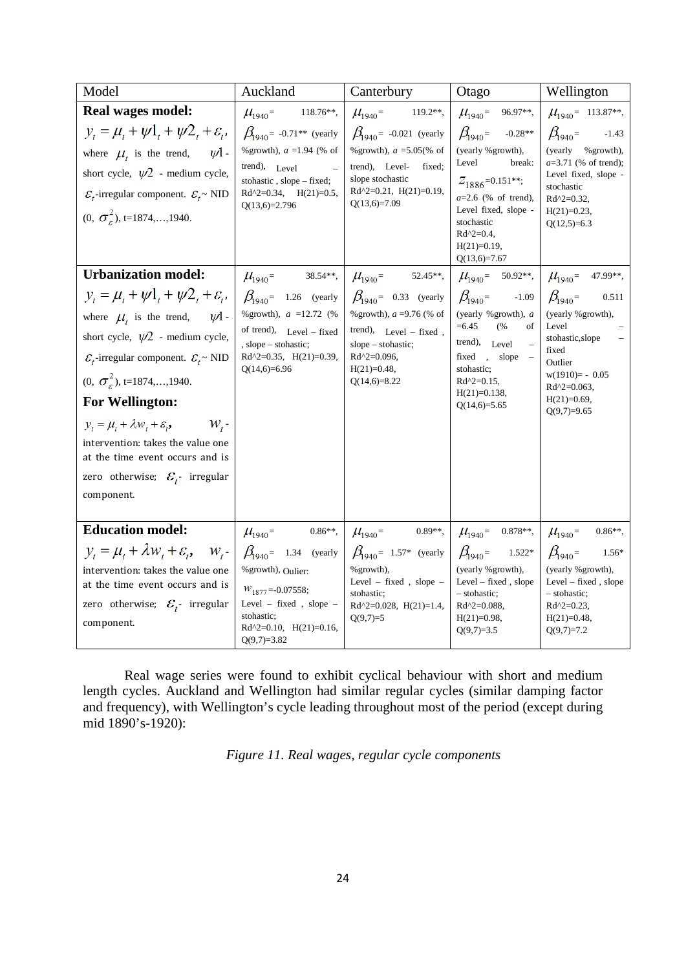| Model                                                                                                                                                                                                                                                                                                                                                                                                       | Auckland                                                                                                                                                                                                                                                                  | Canterbury                                                                                                                                                                                                                                                                              | Otago                                                                                                                                                                                                                                                                                                      | Wellington                                                                                                                                                                                                                                                                                                |
|-------------------------------------------------------------------------------------------------------------------------------------------------------------------------------------------------------------------------------------------------------------------------------------------------------------------------------------------------------------------------------------------------------------|---------------------------------------------------------------------------------------------------------------------------------------------------------------------------------------------------------------------------------------------------------------------------|-----------------------------------------------------------------------------------------------------------------------------------------------------------------------------------------------------------------------------------------------------------------------------------------|------------------------------------------------------------------------------------------------------------------------------------------------------------------------------------------------------------------------------------------------------------------------------------------------------------|-----------------------------------------------------------------------------------------------------------------------------------------------------------------------------------------------------------------------------------------------------------------------------------------------------------|
| Real wages model:<br>$y_t = \mu_t + \psi_1 + \psi_2 + \varepsilon_t$<br>$-\psi$ 1.<br>where $\mu_t$ is the trend,<br>short cycle, $\psi^2$ - medium cycle,<br>$\mathcal{E}_t$ -irregular component. $\mathcal{E}_t \sim \text{NID}$<br>$(0, \sigma^2)$ , t=1874,, 1940.<br><b>Urbanization model:</b><br>$V_t = \mu_t + \psi l_t + \psi 2_t + \varepsilon_t$ , $\beta_{040} = 1.26$ (yearly                 | $\mu_{1940}$ =<br>$118.76**$ ,<br>$\beta_{1940}$ = -0.71 <sup>**</sup> (yearly<br>% growth), $a = 1.94$ (% of<br>trend), Level<br>stohastic, slope - fixed;<br>$Rd^{2}=0.34$ , $H(21)=0.5$ ,<br>$Q(13,6)=2.796$<br>$\mu_{1940} = 38.54**$ ,<br>% growth), $a = 12.72$ (%) | $\mu_{1940}$ = 119.2**,<br>$\beta_{1940}$ = -0.021 (yearly<br>% growth), $a = 5.05$ (% of<br>trend), Level-<br>fixed;<br>slope stochastic<br>$Rd^2=0.21$ , $H(21)=0.19$ ,<br>$Q(13,6)=7.09$<br>$\mu_{1940} = 52.45**$ ,<br>$\beta_{1940}$ = 0.33 (yearly<br>% growth), $a = 9.76$ (% of | $\mu_{1940}$ = 96.97**,<br>$\beta_{\text{1940}}$<br>$-0.28**$<br>(yearly % growth),<br>Level<br>break:<br>$Z_{1886}$ =0.151**;<br>$a=2.6$ (% of trend),<br>Level fixed, slope -<br>stochastic<br>$Rd^2=0.4$ ,<br>$H(21)=0.19$ ,<br>$Q(13,6)=7.67$<br>$\beta_{1940}$ =<br>$-1.09$<br>(yearly % growth), $a$ | $\mu_{1940}$ = 113.87**,<br>$\beta_{1940}$ =<br>$-1.43$<br>(yearly<br>% growth),<br>$a=3.71$ (% of trend);<br>Level fixed, slope -<br>stochastic<br>$Rd^2=0.32$ ,<br>$H(21)=0.23$ ,<br>$Q(12,5)=6.3$<br>$\mu_{1940}$ = 50.92**, $\mu_{1940}$ = 47.99**,<br>$\beta_{1940}$ =<br>0.511<br>(yearly %growth), |
| where $\mu_t$ is the trend, $\psi$ 1.<br>short cycle, $\psi^2$ - medium cycle,<br>$\mathcal{E}_t$ -irregular component. $\mathcal{E}_t$ ~ NID<br>$(0, \sigma^2)$ , t=1874,,1940.<br><b>For Wellington:</b><br>$y_t = \mu_t + \lambda w_t + \varepsilon_t$<br>$W_{t}$<br>intervention: takes the value one<br>at the time event occurs and is<br>zero otherwise; $\mathcal{E}_{t}$ - irregular<br>component. | of trend), Level - fixed<br>, slope – stohastic;<br>$Rd^{2}=0.35$ , $H(21)=0.39$ ,<br>$Q(14,6)=6.96$                                                                                                                                                                      | trend), Level - fixed,<br>slope – stohastic;<br>$Rd^{2}=0.096$ ,<br>$H(21)=0.48$ ,<br>$Q(14,6)=8.22$                                                                                                                                                                                    | $= 6.45$<br>(%<br>of<br>trend), Level<br>fixed, slope<br>stohastic;<br>$Rd^{2}=0.15$ ,<br>$H(21)=0.138$ ,<br>$Q(14,6)=5.65$                                                                                                                                                                                | Level<br>stohastic, slope<br>fixed<br>Outlier<br>$w(1910) = -0.05$<br>$Rd^{2}=0.063$ ,<br>$H(21)=0.69$ ,<br>$Q(9,7)=9.65$                                                                                                                                                                                 |
| <b>Education model:</b><br>$y_t = \mu_t + \lambda w_t + \varepsilon_t$ , $w_{t-1} \beta_{0.940} = 1.34$ (yearly<br>intervention: takes the value one<br>at the time event occurs and is<br>zero otherwise; $\mathcal{E}_t$ - irregular<br>component.                                                                                                                                                        | $0.86**$ ,<br>$\mu_{1940}$ =<br>% growth), $Oulier$ .<br>$W_{1877} = -0.07558;$<br>Level - fixed, slope -<br>stohastic;<br>$Rd^2=0.10$ , $H(21)=0.16$ ,<br>$Q(9,7)=3.82$                                                                                                  | $\mu_{1940}$ = 0.89**, $\mu_{1940}$ = 0.878**, $\mu_{1940}$ =<br>$\beta_{1940}$ = 1.57* (yearly<br>% growth),<br>Level – fixed, slope –<br>stohastic;<br>$Rd^{2}=0.028$ , $H(21)=1.4$ ,<br>$Q(9,7)=5$                                                                                   | $\beta_{1940}$<br>$1.522*$<br>(yearly % growth),<br>$Level - fixed$ , slope<br>- stohastic;<br>$Rd^{2}=0.088$ ,<br>$H(21)=0.98,$<br>$Q(9,7)=3.5$                                                                                                                                                           | $0.86**$<br>$\beta_{1940}$ =<br>$1.56*$<br>(yearly %growth),<br>$Level - fixed$ , slope<br>- stohastic;<br>$Rd^{2}=0.23$ ,<br>$H(21)=0.48$ ,<br>$Q(9,7)=7.2$                                                                                                                                              |

Real wage series were found to exhibit cyclical behaviour with short and medium length cycles. Auckland and Wellington had similar regular cycles (similar damping factor and frequency), with Wellington's cycle leading throughout most of the period (except during mid 1890's-1920):

*Figure 11. Real wages, regular cycle components*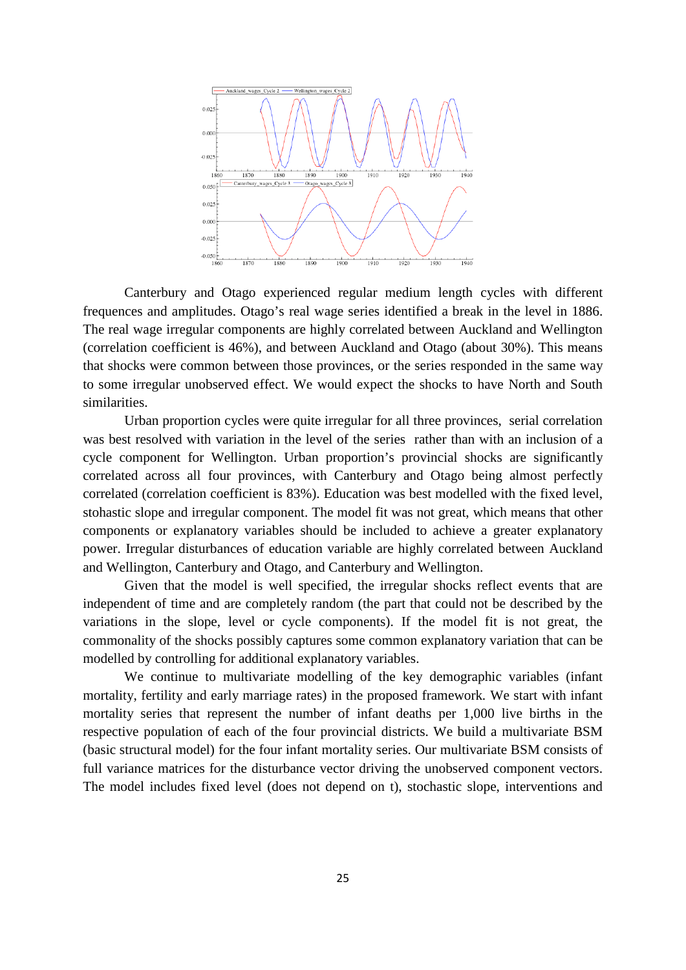

Canterbury and Otago experienced regular medium length cycles with different frequences and amplitudes. Otago's real wage series identified a break in the level in 1886. The real wage irregular components are highly correlated between Auckland and Wellington (correlation coefficient is 46%), and between Auckland and Otago (about 30%). This means that shocks were common between those provinces, or the series responded in the same way to some irregular unobserved effect. We would expect the shocks to have North and South similarities.

Urban proportion cycles were quite irregular for all three provinces, serial correlation was best resolved with variation in the level of the series rather than with an inclusion of a cycle component for Wellington. Urban proportion's provincial shocks are significantly correlated across all four provinces, with Canterbury and Otago being almost perfectly correlated (correlation coefficient is 83%). Education was best modelled with the fixed level, stohastic slope and irregular component. The model fit was not great, which means that other components or explanatory variables should be included to achieve a greater explanatory power. Irregular disturbances of education variable are highly correlated between Auckland and Wellington, Canterbury and Otago, and Canterbury and Wellington.

Given that the model is well specified, the irregular shocks reflect events that are independent of time and are completely random (the part that could not be described by the variations in the slope, level or cycle components). If the model fit is not great, the commonality of the shocks possibly captures some common explanatory variation that can be modelled by controlling for additional explanatory variables.

We continue to multivariate modelling of the key demographic variables (infant mortality, fertility and early marriage rates) in the proposed framework*.* We start with infant mortality series that represent the number of infant deaths per 1,000 live births in the respective population of each of the four provincial districts. We build a multivariate BSM (basic structural model) for the four infant mortality series. Our multivariate BSM consists of full variance matrices for the disturbance vector driving the unobserved component vectors. The model includes fixed level (does not depend on t), stochastic slope, interventions and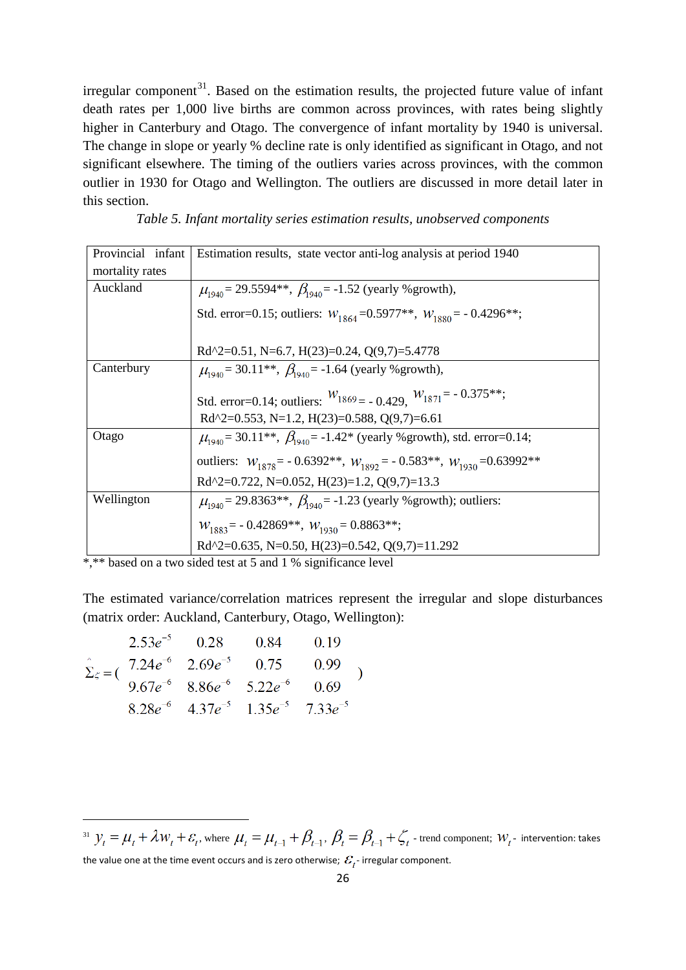irregular component $31$ . Based on the estimation results, the projected future value of infant death rates per 1,000 live births are common across provinces, with rates being slightly higher in Canterbury and Otago. The convergence of infant mortality by 1940 is universal. The change in slope or yearly % decline rate is only identified as significant in Otago, and not significant elsewhere. The timing of the outliers varies across provinces, with the common outlier in 1930 for Otago and Wellington. The outliers are discussed in more detail later in this section.

*Table 5. Infant mortality series estimation results, unobserved components*

| Provincial infant | Estimation results, state vector anti-log analysis at period 1940                   |
|-------------------|-------------------------------------------------------------------------------------|
| mortality rates   |                                                                                     |
| Auckland          | $\mu_{\text{1940}} = 29.5594**$ , $\beta_{\text{1940}} = -1.52$ (yearly % growth),  |
|                   | Std. error=0.15; outliers: $W_{1864} = 0.5977**$ , $W_{1880} = -0.4296**$ ;         |
|                   | Rd^2=0.51, N=6.7, H(23)=0.24, Q(9,7)=5.4778                                         |
| Canterbury        | $\mu_{1940}$ = 30.11 <sup>**</sup> , $\beta_{1940}$ = -1.64 (yearly % growth),      |
|                   | Std. error=0.14; outliers: $W_{1869} = -0.429$ , $W_{1871} = -0.375**$ ;            |
|                   | Rd^2=0.553, N=1.2, H(23)=0.588, Q(9,7)=6.61                                         |
| Otago             | $\mu_{1940}$ = 30.11**, $\beta_{1940}$ = -1.42* (yearly % growth), std. error=0.14; |
|                   | outliers: $W_{1878} = -0.6392**$ , $W_{1892} = -0.583**$ , $W_{1930} = 0.63992**$   |
|                   | Rd^2=0.722, N=0.052, H(23)=1.2, Q(9,7)=13.3                                         |
| Wellington        | $\mu_{1940}$ = 29.8363**, $\beta_{1940}$ = -1.23 (yearly % growth); outliers:       |
|                   | $W_{1883}$ = -0.42869**, $W_{1930}$ = 0.8863**;                                     |
|                   | Rd^2=0.635, N=0.50, H(23)=0.542, Q(9,7)=11.292                                      |

\*,\*\* based on a two sided test at 5 and 1 % significance level

The estimated variance/correlation matrices represent the irregular and slope disturbances (matrix order: Auckland, Canterbury, Otago, Wellington):

|  | $2.53e^{-5}$ 0.28 0.84 0.19                                                                                                                                                                                          |  |  |
|--|----------------------------------------------------------------------------------------------------------------------------------------------------------------------------------------------------------------------|--|--|
|  | $\Sigma_{\zeta} = ($ $\overline{7.24e^{-6}}$ $\overline{2.69e^{-5}}$ $\overline{0.75}$ $\overline{0.99}$ $\overline{0.67e^{-6}}$ $\overline{8.86e^{-6}}$ $\overline{5.22e^{-6}}$ $\overline{0.69}$ $\overline{0.69}$ |  |  |
|  |                                                                                                                                                                                                                      |  |  |
|  | $8.28e^{-6}$ $4.37e^{-5}$ $1.35e^{-5}$ $7.33e^{-5}$                                                                                                                                                                  |  |  |

.<br>-

<span id="page-25-0"></span><sup>&</sup>lt;sup>31</sup>  $y_t = \mu_t + \lambda w_t + \varepsilon_t$ , where  $\mu_t = \mu_{t-1} + \beta_{t-1}$ ,  $\beta_t = \beta_{t-1} + \zeta_t$  - trend component;  $w_t$  - intervention: takes the value one at the time event occurs and is zero otherwise;  $\mathcal{E}_{t}$ -irregular component.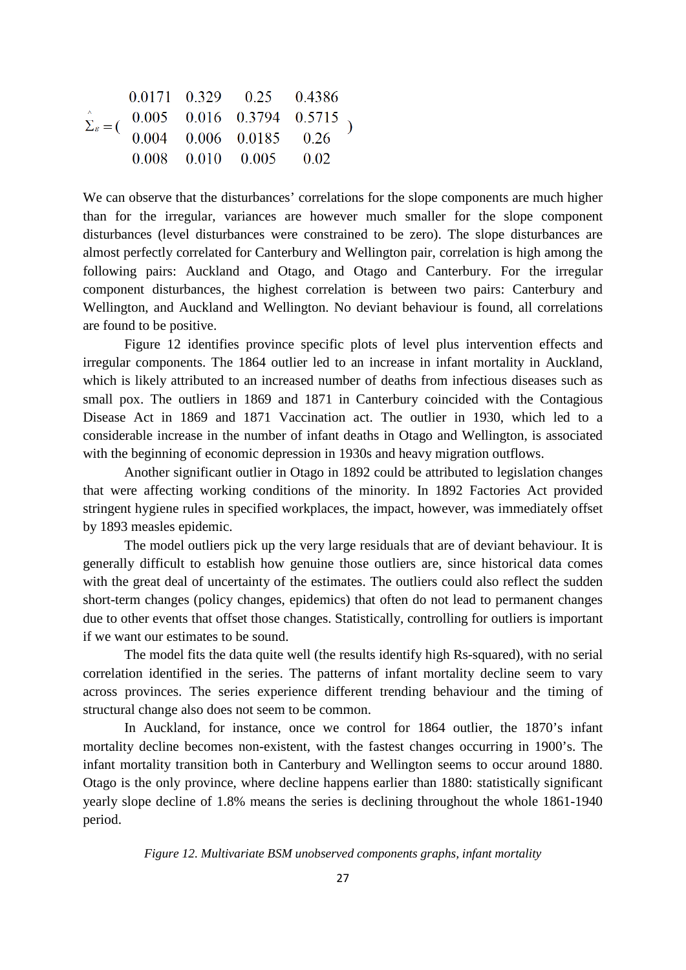|  | $0.0171$ $0.329$ $0.25$ $0.4386$ |                                                                                       |
|--|----------------------------------|---------------------------------------------------------------------------------------|
|  |                                  | $\hat{\Sigma}_{\varepsilon} = ($ 0.005 0.016 0.3794 0.5715<br>0.004 0.006 0.0185 0.26 |
|  |                                  |                                                                                       |
|  | $0.008$ $0.010$ $0.005$ $0.02$   |                                                                                       |

We can observe that the disturbances' correlations for the slope components are much higher than for the irregular, variances are however much smaller for the slope component disturbances (level disturbances were constrained to be zero). The slope disturbances are almost perfectly correlated for Canterbury and Wellington pair, correlation is high among the following pairs: Auckland and Otago, and Otago and Canterbury. For the irregular component disturbances, the highest correlation is between two pairs: Canterbury and Wellington, and Auckland and Wellington. No deviant behaviour is found, all correlations are found to be positive.

Figure 12 identifies province specific plots of level plus intervention effects and irregular components. The 1864 outlier led to an increase in infant mortality in Auckland, which is likely attributed to an increased number of deaths from infectious diseases such as small pox. The outliers in 1869 and 1871 in Canterbury coincided with the Contagious Disease Act in 1869 and 1871 Vaccination act. The outlier in 1930, which led to a considerable increase in the number of infant deaths in Otago and Wellington, is associated with the beginning of economic depression in 1930s and heavy migration outflows.

Another significant outlier in Otago in 1892 could be attributed to legislation changes that were affecting working conditions of the minority. In 1892 Factories Act provided stringent hygiene rules in specified workplaces, the impact, however, was immediately offset by 1893 measles epidemic.

The model outliers pick up the very large residuals that are of deviant behaviour. It is generally difficult to establish how genuine those outliers are, since historical data comes with the great deal of uncertainty of the estimates. The outliers could also reflect the sudden short-term changes (policy changes, epidemics) that often do not lead to permanent changes due to other events that offset those changes. Statistically, controlling for outliers is important if we want our estimates to be sound.

The model fits the data quite well (the results identify high Rs-squared), with no serial correlation identified in the series. The patterns of infant mortality decline seem to vary across provinces. The series experience different trending behaviour and the timing of structural change also does not seem to be common.

In Auckland, for instance, once we control for 1864 outlier, the 1870's infant mortality decline becomes non-existent, with the fastest changes occurring in 1900's. The infant mortality transition both in Canterbury and Wellington seems to occur around 1880. Otago is the only province, where decline happens earlier than 1880: statistically significant yearly slope decline of 1.8% means the series is declining throughout the whole 1861-1940 period.

*Figure 12. Multivariate BSM unobserved components graphs, infant mortality*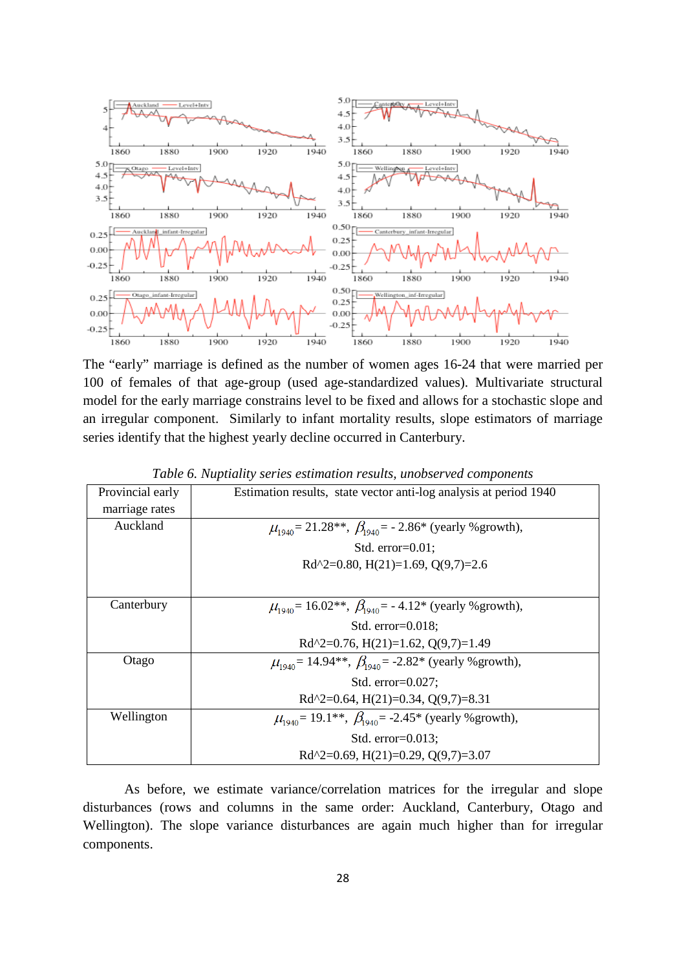

The "early" marriage is defined as the number of women ages 16-24 that were married per 100 of females of that age-group (used age-standardized values). Multivariate structural model for the early marriage constrains level to be fixed and allows for a stochastic slope and an irregular component. Similarly to infant mortality results, slope estimators of marriage series identify that the highest yearly decline occurred in Canterbury.

| Tubic 0. Tuplianty scries estimation results, unobserved components |                                                                      |  |  |  |  |  |
|---------------------------------------------------------------------|----------------------------------------------------------------------|--|--|--|--|--|
| Provincial early                                                    | Estimation results, state vector anti-log analysis at period 1940    |  |  |  |  |  |
| marriage rates                                                      |                                                                      |  |  |  |  |  |
| Auckland                                                            | $\mu_{1940} = 21.28$ **, $\beta_{1940} = -2.86$ * (yearly % growth), |  |  |  |  |  |
|                                                                     | Std. $error=0.01$ :                                                  |  |  |  |  |  |
|                                                                     | Rd^2=0.80, H(21)=1.69, Q(9,7)=2.6                                    |  |  |  |  |  |
|                                                                     |                                                                      |  |  |  |  |  |
| Canterbury                                                          | $\mu_{1940}$ = 16.02**, $\beta_{1940}$ = -4.12* (yearly % growth),   |  |  |  |  |  |
|                                                                     | Std. $error=0.018$ :                                                 |  |  |  |  |  |
|                                                                     | Rd^2=0.76, H(21)=1.62, Q(9,7)=1.49                                   |  |  |  |  |  |
| Otago                                                               | $\mu_{1940}$ = 14.94**, $\beta_{1940}$ = -2.82* (yearly % growth),   |  |  |  |  |  |
|                                                                     | Std. $error=0.027$ :                                                 |  |  |  |  |  |
|                                                                     | Rd^2=0.64, H(21)=0.34, Q(9,7)=8.31                                   |  |  |  |  |  |
| Wellington                                                          | $\mu_{1940}$ = 19.1**, $\beta_{1940}$ = -2.45* (yearly % growth),    |  |  |  |  |  |
|                                                                     | Std. $error=0.013$ :                                                 |  |  |  |  |  |
|                                                                     | Rd^2=0.69, H(21)=0.29, Q(9,7)=3.07                                   |  |  |  |  |  |

*Table 6. Nuptiality series estimation results, unobserved components*

As before, we estimate variance/correlation matrices for the irregular and slope disturbances (rows and columns in the same order: Auckland, Canterbury, Otago and Wellington). The slope variance disturbances are again much higher than for irregular components.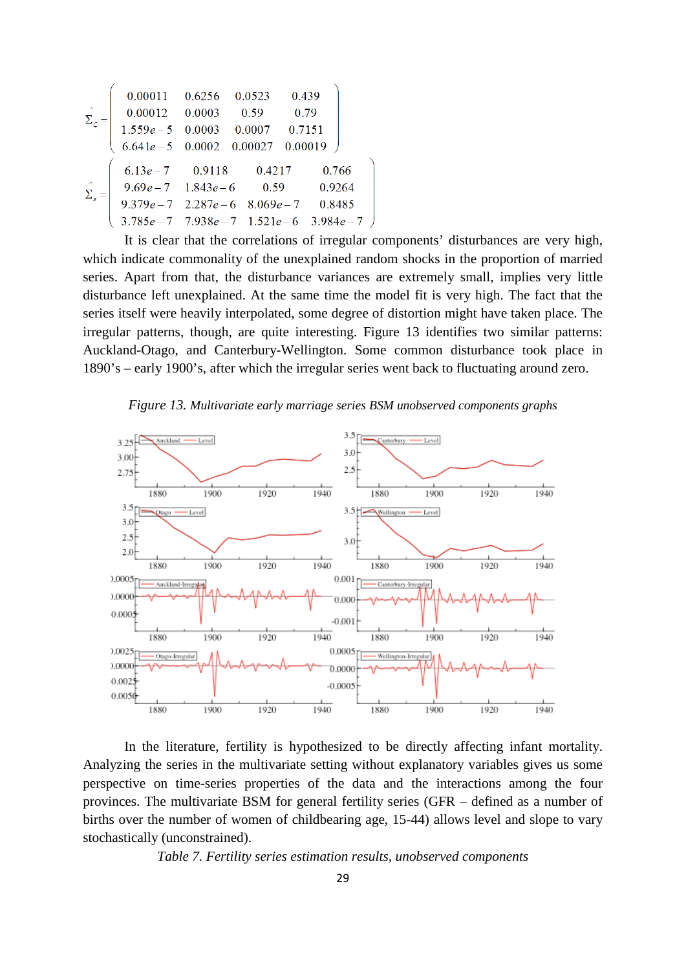|                                           |                               | 0.00011  0.6256  0.0523  0.439                  |        |  |
|-------------------------------------------|-------------------------------|-------------------------------------------------|--------|--|
| $\Lambda$<br>$\Sigma_{\varepsilon}$       |                               | $0.00012$ $0.0003$ $0.59$ $0.79$                |        |  |
|                                           |                               | $1.559e-5$ 0.0003 0.0007 0.7151                 |        |  |
|                                           |                               | $6.641e-5$ 0.0002 0.00027 0.00019               |        |  |
|                                           |                               | $6.13e-7$ 0.9118 0.4217                         | 0.766  |  |
|                                           |                               |                                                 |        |  |
| $\Lambda$<br>$\bar{\Sigma}_\varepsilon =$ | $9.69e - 7$ $1.843e - 6$ 0.59 |                                                 | 0.9264 |  |
|                                           |                               | $9.379e - 7$ $2.287e - 6$ $8.069e - 7$ $0.8485$ |        |  |
|                                           |                               | $3.785e-7$ $7.938e-7$ $1.521e-6$ $3.984e-7$     |        |  |
|                                           |                               |                                                 |        |  |

It is clear that the correlations of irregular components' disturbances are very high, which indicate commonality of the unexplained random shocks in the proportion of married series. Apart from that, the disturbance variances are extremely small, implies very little disturbance left unexplained. At the same time the model fit is very high. The fact that the series itself were heavily interpolated, some degree of distortion might have taken place. The irregular patterns, though, are quite interesting. Figure 13 identifies two similar patterns: Auckland-Otago, and Canterbury-Wellington. Some common disturbance took place in 1890's – early 1900's, after which the irregular series went back to fluctuating around zero.

*Figure 13. Multivariate early marriage series BSM unobserved components graphs*



In the literature, fertility is hypothesized to be directly affecting infant mortality. Analyzing the series in the multivariate setting without explanatory variables gives us some perspective on time-series properties of the data and the interactions among the four provinces. The multivariate BSM for general fertility series (GFR – defined as a number of births over the number of women of childbearing age, 15-44) allows level and slope to vary stochastically (unconstrained).

*Table 7. Fertility series estimation results, unobserved components*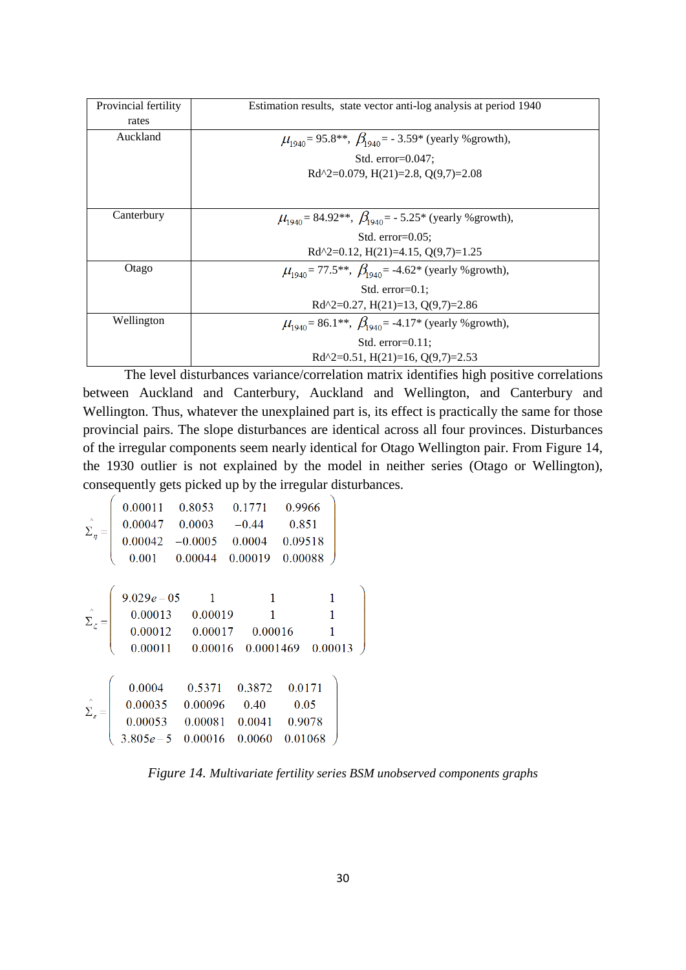| Provincial fertility | Estimation results, state vector anti-log analysis at period 1940                          |
|----------------------|--------------------------------------------------------------------------------------------|
| rates                |                                                                                            |
| Auckland             | $\mu_{1940}$ = 95.8**, $\beta_{1940}$ = -3.59* (yearly % growth),                          |
|                      | Std. $error=0.047$ ;                                                                       |
|                      | Rd^2=0.079, H(21)=2.8, O(9,7)=2.08                                                         |
|                      |                                                                                            |
| Canterbury           | $\mu_{1940}$ = 84.92**, $\beta_{1940}$ = - 5.25* (yearly % growth),                        |
|                      | Std. $error=0.05$ :                                                                        |
|                      | $Rd^{2}=0.12$ , $H(21)=4.15$ , $Q(9,7)=1.25$                                               |
| Otago                | $\mu_{1940}$ = 77.5 <sup>**</sup> , $\beta_{1940}$ = -4.62 <sup>*</sup> (yearly % growth), |
|                      | Std. $error=0.1$ :                                                                         |
|                      | Rd^2=0.27, H(21)=13, Q(9,7)=2.86                                                           |
| Wellington           | $\mu_{1940}$ = 86.1**, $\beta_{1940}$ = -4.17* (yearly % growth),                          |
|                      | Std. $error=0.11$ ;                                                                        |
|                      | Rd^2=0.51, H(21)=16, Q(9,7)=2.53                                                           |
|                      |                                                                                            |

The level disturbances variance/correlation matrix identifies high positive correlations between Auckland and Canterbury, Auckland and Wellington, and Canterbury and Wellington. Thus, whatever the unexplained part is, its effect is practically the same for those provincial pairs. The slope disturbances are identical across all four provinces. Disturbances of the irregular components seem nearly identical for Otago Wellington pair. From Figure 14, the 1930 outlier is not explained by the model in neither series (Otago or Wellington), consequently gets picked up by the irregular disturbances.

$$
\hat{\Sigma}_{\eta} = \begin{pmatrix}\n0.00011 & 0.8053 & 0.1771 & 0.9966 \\
0.00047 & 0.0003 & -0.44 & 0.851 \\
0.00042 & -0.0005 & 0.0004 & 0.09518 \\
0.001 & 0.00044 & 0.00019 & 0.00088\n\end{pmatrix}
$$
\n
$$
\hat{\Sigma}_{\zeta} = \begin{pmatrix}\n9.029e - 05 & 1 & 1 & 1 \\
0.00013 & 0.00019 & 1 & 1 \\
0.00012 & 0.00017 & 0.00016 & 1 \\
0.00011 & 0.00016 & 0.0001469 & 0.00013\n\end{pmatrix}
$$
\n
$$
\hat{\Sigma}_{z} = \begin{pmatrix}\n0.004 & 0.5371 & 0.3872 & 0.0171 \\
0.00035 & 0.00096 & 0.40 & 0.05 \\
0.00053 & 0.00081 & 0.0041 & 0.9078 \\
3.805e - 5 & 0.00016 & 0.0060 & 0.01068\n\end{pmatrix}
$$

*Figure 14. Multivariate fertility series BSM unobserved components graphs*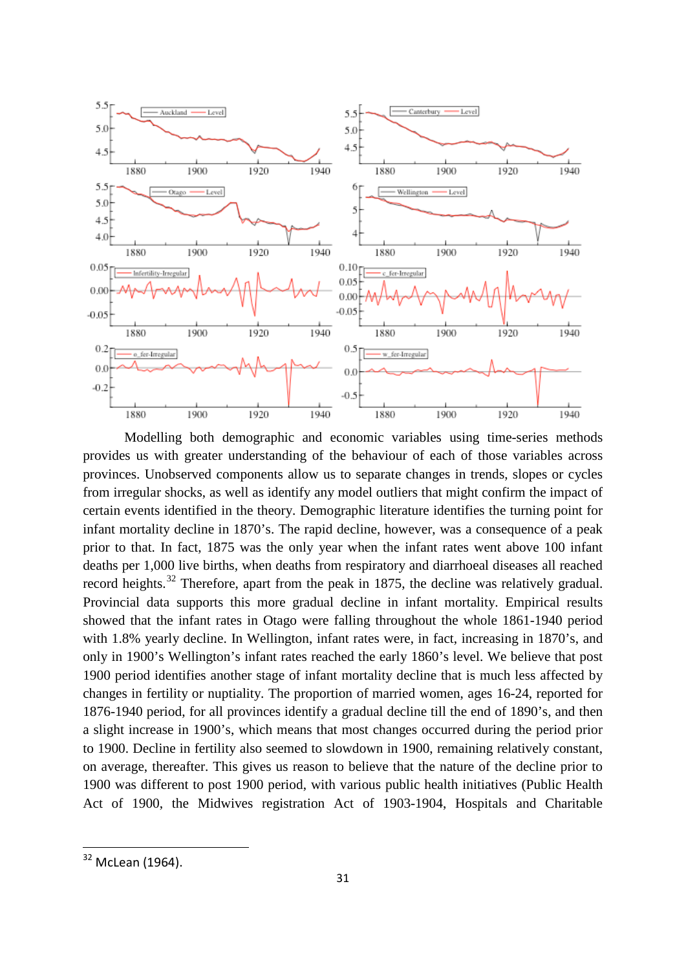

Modelling both demographic and economic variables using time-series methods provides us with greater understanding of the behaviour of each of those variables across provinces. Unobserved components allow us to separate changes in trends, slopes or cycles from irregular shocks, as well as identify any model outliers that might confirm the impact of certain events identified in the theory. Demographic literature identifies the turning point for infant mortality decline in 1870's. The rapid decline, however, was a consequence of a peak prior to that. In fact, 1875 was the only year when the infant rates went above 100 infant deaths per 1,000 live births, when deaths from respiratory and diarrhoeal diseases all reached record heights.<sup>[32](#page-30-0)</sup> Therefore, apart from the peak in 1875, the decline was relatively gradual. Provincial data supports this more gradual decline in infant mortality. Empirical results showed that the infant rates in Otago were falling throughout the whole 1861-1940 period with 1.8% yearly decline. In Wellington, infant rates were, in fact, increasing in 1870's, and only in 1900's Wellington's infant rates reached the early 1860's level. We believe that post 1900 period identifies another stage of infant mortality decline that is much less affected by changes in fertility or nuptiality. The proportion of married women, ages 16-24, reported for 1876-1940 period, for all provinces identify a gradual decline till the end of 1890's, and then a slight increase in 1900's, which means that most changes occurred during the period prior to 1900. Decline in fertility also seemed to slowdown in 1900, remaining relatively constant, on average, thereafter. This gives us reason to believe that the nature of the decline prior to 1900 was different to post 1900 period, with various public health initiatives (Public Health Act of 1900, the Midwives registration Act of 1903-1904, Hospitals and Charitable

<span id="page-30-0"></span><sup>&</sup>lt;sup>32</sup> McLean (1964).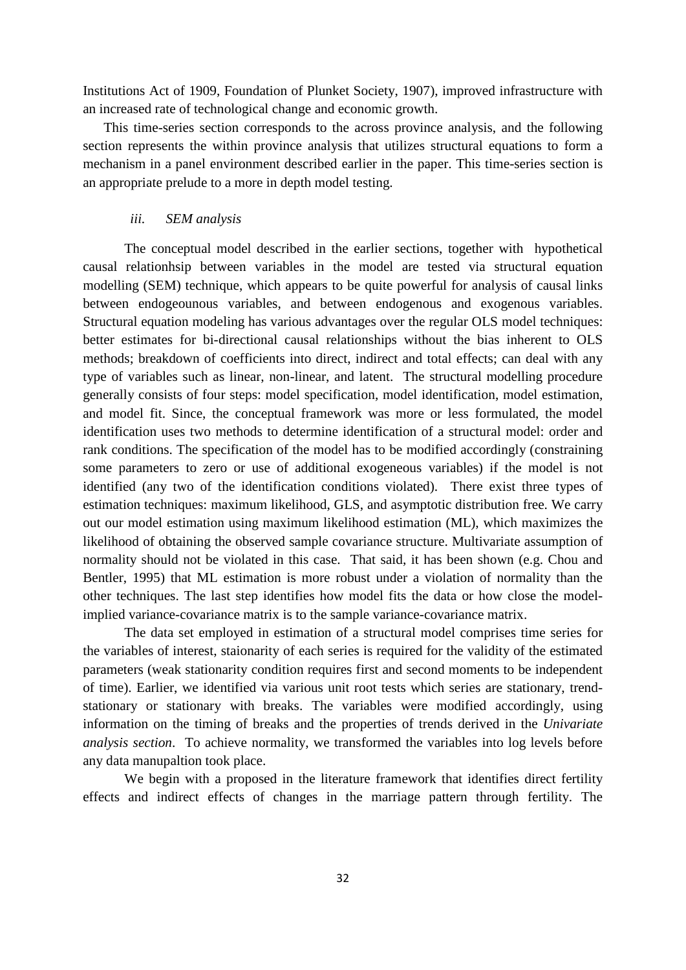Institutions Act of 1909, Foundation of Plunket Society, 1907), improved infrastructure with an increased rate of technological change and economic growth.

This time-series section corresponds to the across province analysis, and the following section represents the within province analysis that utilizes structural equations to form a mechanism in a panel environment described earlier in the paper. This time-series section is an appropriate prelude to a more in depth model testing.

### *iii. SEM analysis*

The conceptual model described in the earlier sections, together with hypothetical causal relationhsip between variables in the model are tested via structural equation modelling (SEM) technique, which appears to be quite powerful for analysis of causal links between endogeounous variables, and between endogenous and exogenous variables. Structural equation modeling has various advantages over the regular OLS model techniques: better estimates for bi-directional causal relationships without the bias inherent to OLS methods; breakdown of coefficients into direct, indirect and total effects; can deal with any type of variables such as linear, non-linear, and latent. The structural modelling procedure generally consists of four steps: model specification, model identification, model estimation, and model fit. Since, the conceptual framework was more or less formulated, the model identification uses two methods to determine identification of a structural model: order and rank conditions. The specification of the model has to be modified accordingly (constraining some parameters to zero or use of additional exogeneous variables) if the model is not identified (any two of the identification conditions violated). There exist three types of estimation techniques: maximum likelihood, GLS, and asymptotic distribution free. We carry out our model estimation using maximum likelihood estimation (ML), which maximizes the likelihood of obtaining the observed sample covariance structure. Multivariate assumption of normality should not be violated in this case. That said, it has been shown (e.g. Chou and Bentler, 1995) that ML estimation is more robust under a violation of normality than the other techniques. The last step identifies how model fits the data or how close the modelimplied variance-covariance matrix is to the sample variance-covariance matrix.

The data set employed in estimation of a structural model comprises time series for the variables of interest, staionarity of each series is required for the validity of the estimated parameters (weak stationarity condition requires first and second moments to be independent of time). Earlier, we identified via various unit root tests which series are stationary, trendstationary or stationary with breaks. The variables were modified accordingly, using information on the timing of breaks and the properties of trends derived in the *Univariate analysis section*. To achieve normality, we transformed the variables into log levels before any data manupaltion took place.

We begin with a proposed in the literature framework that identifies direct fertility effects and indirect effects of changes in the marriage pattern through fertility. The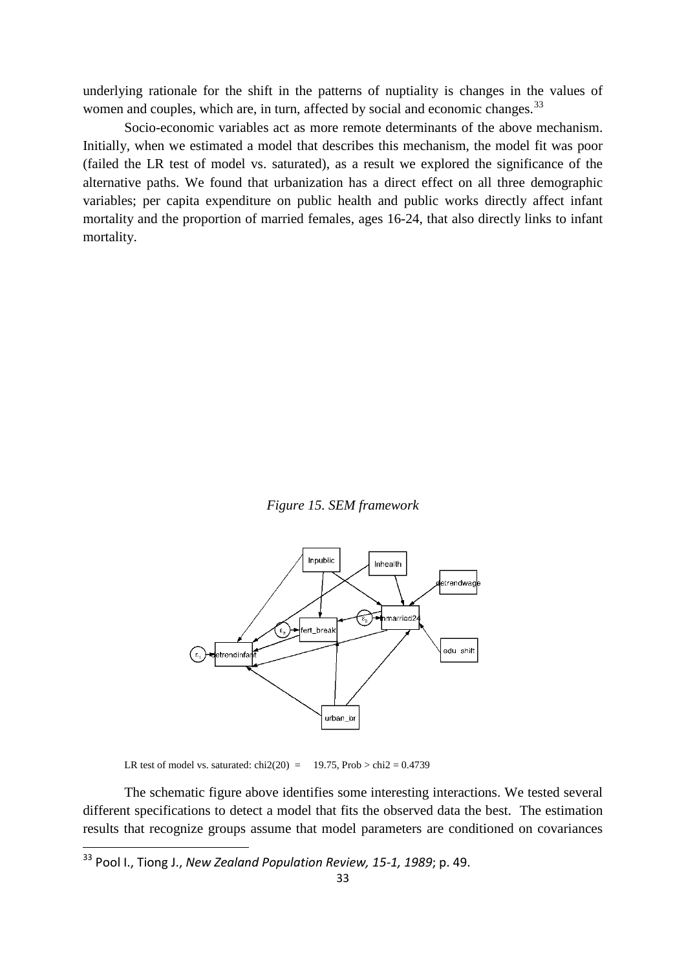underlying rationale for the shift in the patterns of nuptiality is changes in the values of women and couples, which are, in turn, affected by social and economic changes.<sup>[33](#page-32-0)</sup>

Socio-economic variables act as more remote determinants of the above mechanism. Initially, when we estimated a model that describes this mechanism, the model fit was poor (failed the LR test of model vs. saturated), as a result we explored the significance of the alternative paths. We found that urbanization has a direct effect on all three demographic variables; per capita expenditure on public health and public works directly affect infant mortality and the proportion of married females, ages 16-24, that also directly links to infant mortality.

*Figure 15. SEM framework*



LR test of model vs. saturated: chi2(20) = 19.75, Prob > chi2 =  $0.4739$ 

The schematic figure above identifies some interesting interactions. We tested several different specifications to detect a model that fits the observed data the best. The estimation results that recognize groups assume that model parameters are conditioned on covariances

<span id="page-32-0"></span> <sup>33</sup> Pool I., Tiong J., *New Zealand Population Review, 15-1, 1989*; p. 49.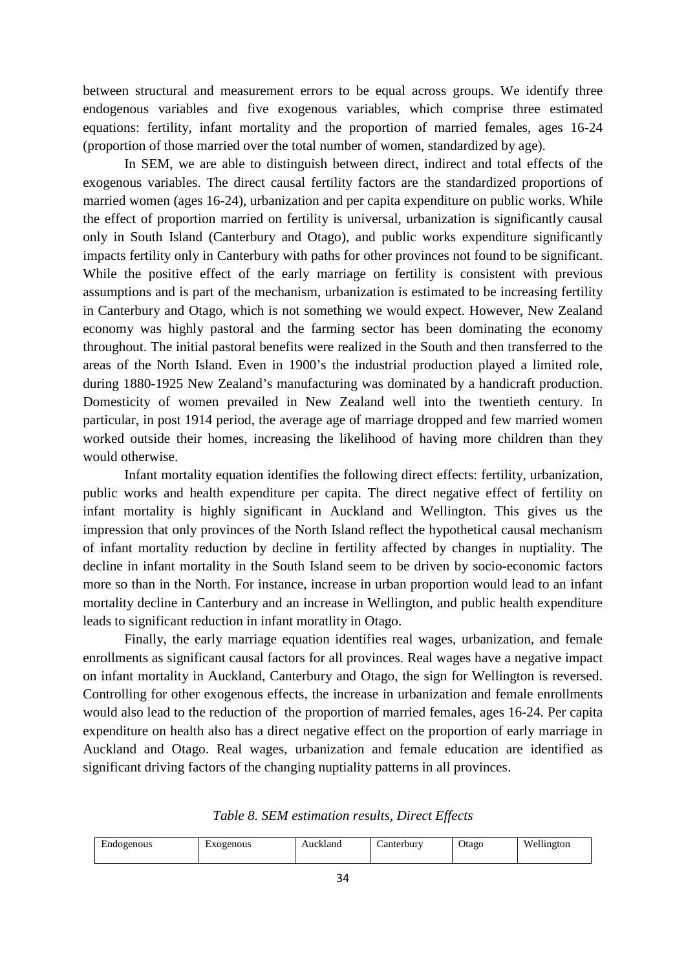between structural and measurement errors to be equal across groups. We identify three endogenous variables and five exogenous variables, which comprise three estimated equations: fertility, infant mortality and the proportion of married females, ages 16-24 (proportion of those married over the total number of women, standardized by age).

In SEM, we are able to distinguish between direct, indirect and total effects of the exogenous variables. The direct causal fertility factors are the standardized proportions of married women (ages 16-24), urbanization and per capita expenditure on public works. While the effect of proportion married on fertility is universal, urbanization is significantly causal only in South Island (Canterbury and Otago), and public works expenditure significantly impacts fertility only in Canterbury with paths for other provinces not found to be significant. While the positive effect of the early marriage on fertility is consistent with previous assumptions and is part of the mechanism, urbanization is estimated to be increasing fertility in Canterbury and Otago, which is not something we would expect. However, New Zealand economy was highly pastoral and the farming sector has been dominating the economy throughout. The initial pastoral benefits were realized in the South and then transferred to the areas of the North Island. Even in 1900's the industrial production played a limited role, during 1880-1925 New Zealand's manufacturing was dominated by a handicraft production. Domesticity of women prevailed in New Zealand well into the twentieth century. In particular, in post 1914 period, the average age of marriage dropped and few married women worked outside their homes, increasing the likelihood of having more children than they would otherwise.

Infant mortality equation identifies the following direct effects: fertility, urbanization, public works and health expenditure per capita. The direct negative effect of fertility on infant mortality is highly significant in Auckland and Wellington. This gives us the impression that only provinces of the North Island reflect the hypothetical causal mechanism of infant mortality reduction by decline in fertility affected by changes in nuptiality. The decline in infant mortality in the South Island seem to be driven by socio-economic factors more so than in the North. For instance, increase in urban proportion would lead to an infant mortality decline in Canterbury and an increase in Wellington, and public health expenditure leads to significant reduction in infant moratlity in Otago.

Finally, the early marriage equation identifies real wages, urbanization, and female enrollments as significant causal factors for all provinces. Real wages have a negative impact on infant mortality in Auckland, Canterbury and Otago, the sign for Wellington is reversed. Controlling for other exogenous effects, the increase in urbanization and female enrollments would also lead to the reduction of the proportion of married females, ages 16-24. Per capita expenditure on health also has a direct negative effect on the proportion of early marriage in Auckland and Otago. Real wages, urbanization and female education are identified as significant driving factors of the changing nuptiality patterns in all provinces.

*Table 8. SEM estimation results, Direct Effects*

| Endogenous<br>ыv<br>EАC | cogenous<br>Auckland | Lanterbury | <b>Jtago</b> | Wellington |
|-------------------------|----------------------|------------|--------------|------------|
|-------------------------|----------------------|------------|--------------|------------|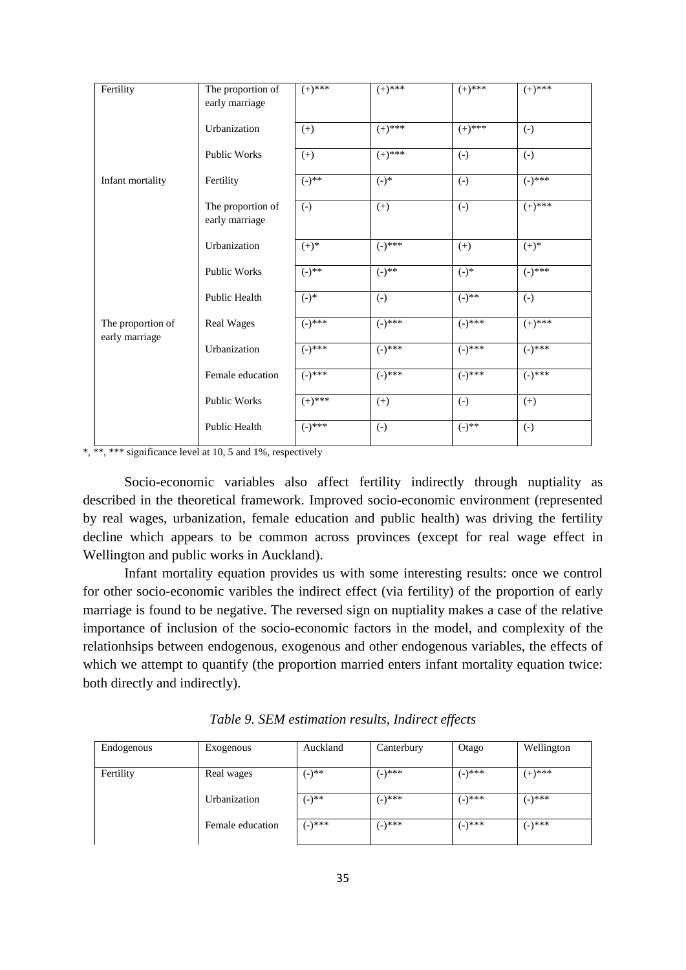| Fertility         | The proportion of<br>early marriage | $(+)$ ***   | $(+)$ ***         | $(+)$ ***         | $(+)$ ***         |
|-------------------|-------------------------------------|-------------|-------------------|-------------------|-------------------|
|                   | Urbanization                        | $(+)$       | $(+)$ ***         | $(+)$ ***         | $\left( -\right)$ |
|                   | Public Works                        | $(+)$       | $(+)$ ***         | $(-)$             | $\left( -\right)$ |
| Infant mortality  | Fertility                           | $(-)$ **    | $(-)^*$           | $(-)$             | $(-)$ ***         |
|                   | The proportion of<br>early marriage | $(-)$       | $(+)$             | $(-)$             | $(+)^{***}$       |
|                   | Urbanization                        | $(+)^*$     | $(-)^{***}$       | $(+)$             | $(+)$ *           |
|                   | Public Works                        | $(-)$ **    | $(-)$ **          | $(-)$ *           | $(-)$ ***         |
|                   | Public Health                       | $(-)^*$     | $\left( -\right)$ | $(-)^{**}$        | $\left( -\right)$ |
| The proportion of | Real Wages                          | $(-)^{***}$ | $(-)^{***}$       | $(-)^{***}$       | $(+)$ ***         |
| early marriage    | Urbanization                        | $(-)^{***}$ | $(-)^{***}$       | $(-)$ ***         | $(-)^{***}$       |
|                   | Female education                    | $(-)^{***}$ | $(-)^{***}$       | $(-)$ ***         | $(-)$ ***         |
|                   | <b>Public Works</b>                 | $(+)^{***}$ | $(+)$             | $\left( -\right)$ | $^{(+)}$          |
|                   | Public Health                       | $(-)^{***}$ | $(-)$             | $(-)$ **          | $(-)$             |

\*, \*\*\* \*\*\* significance level at 10, 5 and 1%, respectively

Socio-economic variables also affect fertility indirectly through nuptiality as described in the theoretical framework. Improved socio-economic environment (represented by real wages, urbanization, female education and public health) was driving the fertility decline which appears to be common across provinces (except for real wage effect in Wellington and public works in Auckland).

Infant mortality equation provides us with some interesting results: once we control for other socio-economic varibles the indirect effect (via fertility) of the proportion of early marriage is found to be negative. The reversed sign on nuptiality makes a case of the relative importance of inclusion of the socio-economic factors in the model, and complexity of the relationhsips between endogenous, exogenous and other endogenous variables, the effects of which we attempt to quantify (the proportion married enters infant mortality equation twice: both directly and indirectly).

| Endogenous | Exogenous        | Auckland   | Canterbury | Otago  | Wellington |
|------------|------------------|------------|------------|--------|------------|
| Fertility  | Real wages       | $(-)^{**}$ | $(-)$ ***  | (-)*** | $(+)$ ***  |
|            | Urbanization     | $(-)^{**}$ | $(-)$ ***  | (-)*** | (-)***     |
|            | Female education | (−)***     | $(-)$ ***  | (-)*** | (-)***     |

*Table 9. SEM estimation results, Indirect effects*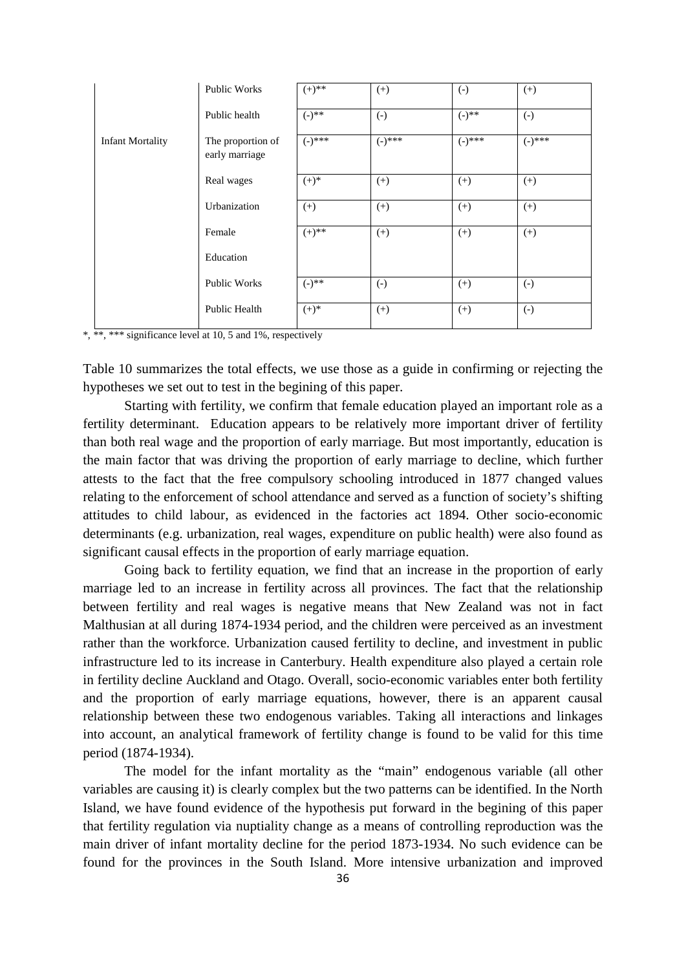|                         | Public Works                        | $(+)^{**}$  | $(+)$             | $\left( -\right)$ | $(+)$       |
|-------------------------|-------------------------------------|-------------|-------------------|-------------------|-------------|
|                         | Public health                       | $(-)^{**}$  | $\left( -\right)$ | $(-)^{**}$        | $(-)$       |
| <b>Infant Mortality</b> | The proportion of<br>early marriage | $(-)^{***}$ | $(-)^{***}$       | $(-)^{***}$       | $(-)^{***}$ |
|                         | Real wages                          | $(+)^*$     | $(+)$             | $^{(+)}$          | $(+)$       |
|                         | Urbanization                        | $^{(+)}$    | $(+)$             | $^{(+)}$          | $(+)$       |
|                         | Female                              | $(+)$ **    | $^{(+)}$          | $(+)$             | $(+)$       |
|                         | Education                           |             |                   |                   |             |
|                         | Public Works                        | $(-)^{**}$  | $\left( -\right)$ | $^{(+)}$          | $(-)$       |
|                         | <b>Public Health</b>                | $(+)^*$     | $(+)$             | $(+)$             | $(-)$       |

\*, \*\*\* significance level at 10, 5 and 1%, respectively

Table 10 summarizes the total effects, we use those as a guide in confirming or rejecting the hypotheses we set out to test in the begining of this paper.

Starting with fertility, we confirm that female education played an important role as a fertility determinant. Education appears to be relatively more important driver of fertility than both real wage and the proportion of early marriage. But most importantly, education is the main factor that was driving the proportion of early marriage to decline, which further attests to the fact that the free compulsory schooling introduced in 1877 changed values relating to the enforcement of school attendance and served as a function of society's shifting attitudes to child labour, as evidenced in the factories act 1894. Other socio-economic determinants (e.g. urbanization, real wages, expenditure on public health) were also found as significant causal effects in the proportion of early marriage equation.

Going back to fertility equation, we find that an increase in the proportion of early marriage led to an increase in fertility across all provinces. The fact that the relationship between fertility and real wages is negative means that New Zealand was not in fact Malthusian at all during 1874-1934 period, and the children were perceived as an investment rather than the workforce. Urbanization caused fertility to decline, and investment in public infrastructure led to its increase in Canterbury. Health expenditure also played a certain role in fertility decline Auckland and Otago. Overall, socio-economic variables enter both fertility and the proportion of early marriage equations, however, there is an apparent causal relationship between these two endogenous variables. Taking all interactions and linkages into account, an analytical framework of fertility change is found to be valid for this time period (1874-1934).

The model for the infant mortality as the "main" endogenous variable (all other variables are causing it) is clearly complex but the two patterns can be identified. In the North Island, we have found evidence of the hypothesis put forward in the begining of this paper that fertility regulation via nuptiality change as a means of controlling reproduction was the main driver of infant mortality decline for the period 1873-1934. No such evidence can be found for the provinces in the South Island. More intensive urbanization and improved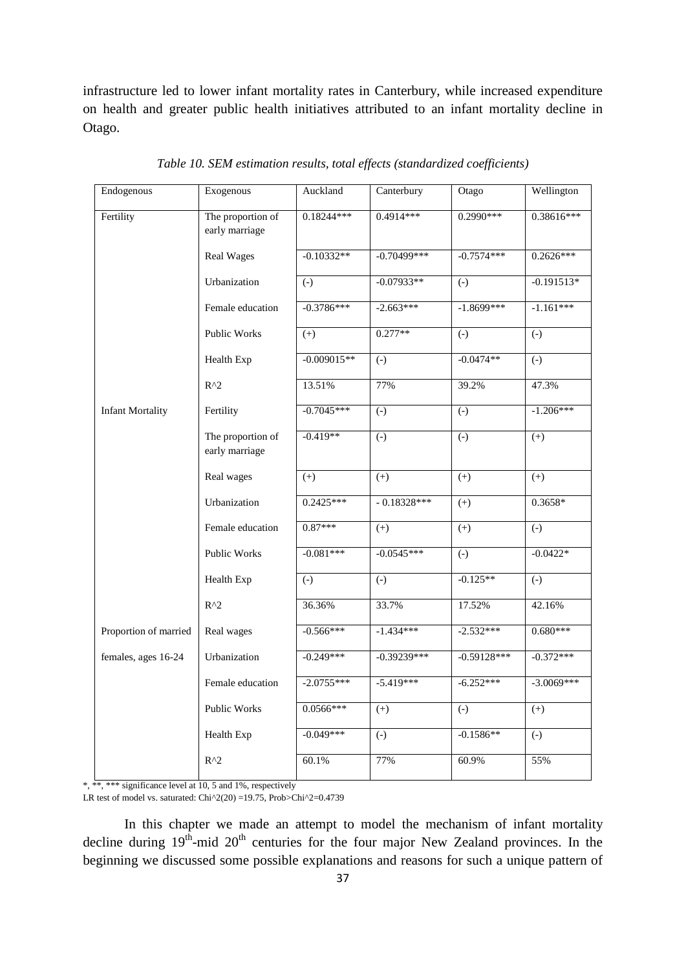infrastructure led to lower infant mortality rates in Canterbury, while increased expenditure on health and greater public health initiatives attributed to an infant mortality decline in Otago.

| Endogenous              | Exogenous                           | Auckland      | Canterbury        | Otago         | Wellington              |
|-------------------------|-------------------------------------|---------------|-------------------|---------------|-------------------------|
| Fertility               | The proportion of<br>early marriage | 0.18244***    | $0.4914***$       | $0.2990***$   | $0.386\overline{16***}$ |
|                         | <b>Real Wages</b>                   | $-0.10332**$  | $-0.70499$ ***    | $-0.7574***$  | $0.2626***$             |
|                         | Urbanization                        | $(-)$         | $-0.07933**$      | $(-)$         | $-0.191513*$            |
|                         | Female education                    | $-0.3786***$  | $-2.663***$       | $-1.8699***$  | $-1.161***$             |
|                         | Public Works                        | $(+)$         | $0.277**$         | $(-)$         | $(-)$                   |
|                         | Health Exp                          | $-0.009015**$ | $(-)$             | $-0.0474**$   | $\left( -\right)$       |
|                         | $R^2$                               | 13.51%        | 77%               | 39.2%         | 47.3%                   |
| <b>Infant Mortality</b> | Fertility                           | $-0.7045***$  | $(-)$             | $(-)$         | $-1.206***$             |
|                         | The proportion of<br>early marriage | $-0.419**$    | $(-)$             | $(-)$         | $(+)$                   |
|                         | Real wages                          | $(+)$         | $(+)$             | $(+)$         | $(+)$                   |
|                         | Urbanization                        | $0.2425***$   | $-0.18328***$     | $(+)$         | 0.3658*                 |
|                         | Female education                    | $0.87***$     | $(+)$             | $(+)$         | $\left( -\right)$       |
|                         | Public Works                        | $-0.081***$   | $-0.0545***$      | $(-)$         | $-0.0422*$              |
|                         | Health Exp                          | $(-)$         | $(-)$             | $-0.125**$    | $(-)$                   |
|                         | $R^2$                               | 36.36%        | 33.7%             | 17.52%        | 42.16%                  |
| Proportion of married   | Real wages                          | $-0.566***$   | $-1.434***$       | $-2.532***$   | $0.680***$              |
| females, ages 16-24     | Urbanization                        | $-0.249***$   | $-0.39239***$     | $-0.59128***$ | $-0.372***$             |
|                         | Female education                    | $-2.0755***$  | $-5.419***$       | $-6.252***$   | $-3.0069***$            |
|                         | <b>Public Works</b>                 | $0.0566***$   | $(+)$             | $(-)$         | $(+)$                   |
|                         | Health Exp                          | $-0.049***$   | $\left( -\right)$ | $-0.1586**$   | $(-)$                   |
|                         | $R^2$                               | 60.1%         | 77%               | 60.9%         | 55%                     |

*Table 10. SEM estimation results, total effects (standardized coefficients)*

\*, \*\*, \*\*\* significance level at 10, 5 and 1%, respectively

LR test of model vs. saturated: Chi^2(20) =19.75, Prob>Chi^2=0.4739

In this chapter we made an attempt to model the mechanism of infant mortality decline during  $19<sup>th</sup>$ -mid  $20<sup>th</sup>$  centuries for the four major New Zealand provinces. In the beginning we discussed some possible explanations and reasons for such a unique pattern of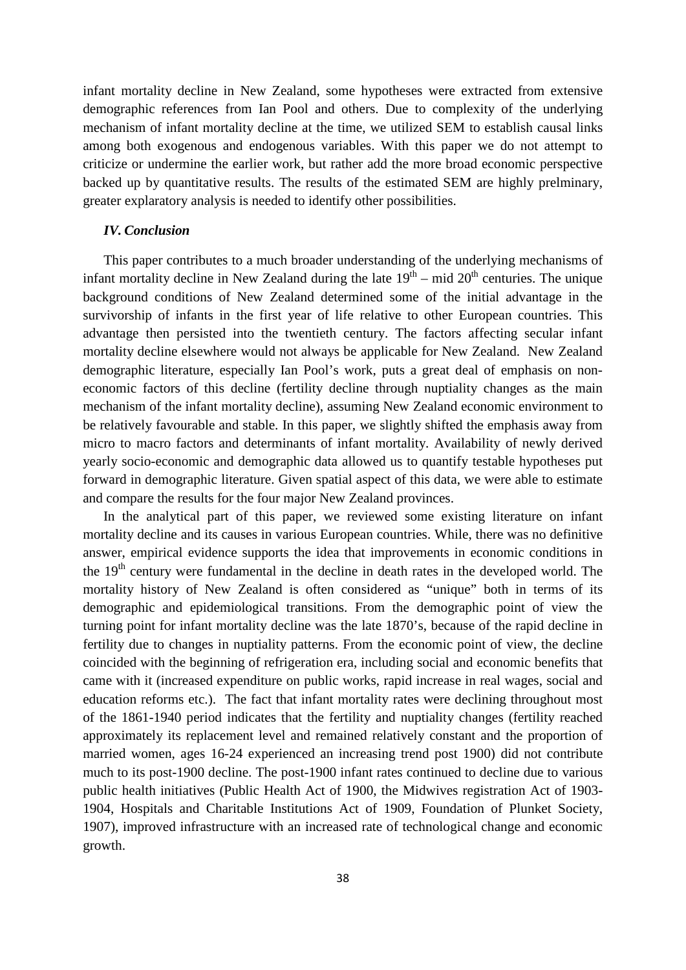infant mortality decline in New Zealand, some hypotheses were extracted from extensive demographic references from Ian Pool and others. Due to complexity of the underlying mechanism of infant mortality decline at the time, we utilized SEM to establish causal links among both exogenous and endogenous variables. With this paper we do not attempt to criticize or undermine the earlier work, but rather add the more broad economic perspective backed up by quantitative results. The results of the estimated SEM are highly prelminary, greater explaratory analysis is needed to identify other possibilities.

### *IV. Conclusion*

This paper contributes to a much broader understanding of the underlying mechanisms of infant mortality decline in New Zealand during the late  $19<sup>th</sup>$  – mid  $20<sup>th</sup>$  centuries. The unique background conditions of New Zealand determined some of the initial advantage in the survivorship of infants in the first year of life relative to other European countries. This advantage then persisted into the twentieth century. The factors affecting secular infant mortality decline elsewhere would not always be applicable for New Zealand. New Zealand demographic literature, especially Ian Pool's work, puts a great deal of emphasis on noneconomic factors of this decline (fertility decline through nuptiality changes as the main mechanism of the infant mortality decline), assuming New Zealand economic environment to be relatively favourable and stable. In this paper, we slightly shifted the emphasis away from micro to macro factors and determinants of infant mortality. Availability of newly derived yearly socio-economic and demographic data allowed us to quantify testable hypotheses put forward in demographic literature. Given spatial aspect of this data, we were able to estimate and compare the results for the four major New Zealand provinces.

In the analytical part of this paper, we reviewed some existing literature on infant mortality decline and its causes in various European countries. While, there was no definitive answer, empirical evidence supports the idea that improvements in economic conditions in the  $19<sup>th</sup>$  century were fundamental in the decline in death rates in the developed world. The mortality history of New Zealand is often considered as "unique" both in terms of its demographic and epidemiological transitions. From the demographic point of view the turning point for infant mortality decline was the late 1870's, because of the rapid decline in fertility due to changes in nuptiality patterns. From the economic point of view, the decline coincided with the beginning of refrigeration era, including social and economic benefits that came with it (increased expenditure on public works, rapid increase in real wages, social and education reforms etc.). The fact that infant mortality rates were declining throughout most of the 1861-1940 period indicates that the fertility and nuptiality changes (fertility reached approximately its replacement level and remained relatively constant and the proportion of married women, ages 16-24 experienced an increasing trend post 1900) did not contribute much to its post-1900 decline. The post-1900 infant rates continued to decline due to various public health initiatives (Public Health Act of 1900, the Midwives registration Act of 1903- 1904, Hospitals and Charitable Institutions Act of 1909, Foundation of Plunket Society, 1907), improved infrastructure with an increased rate of technological change and economic growth.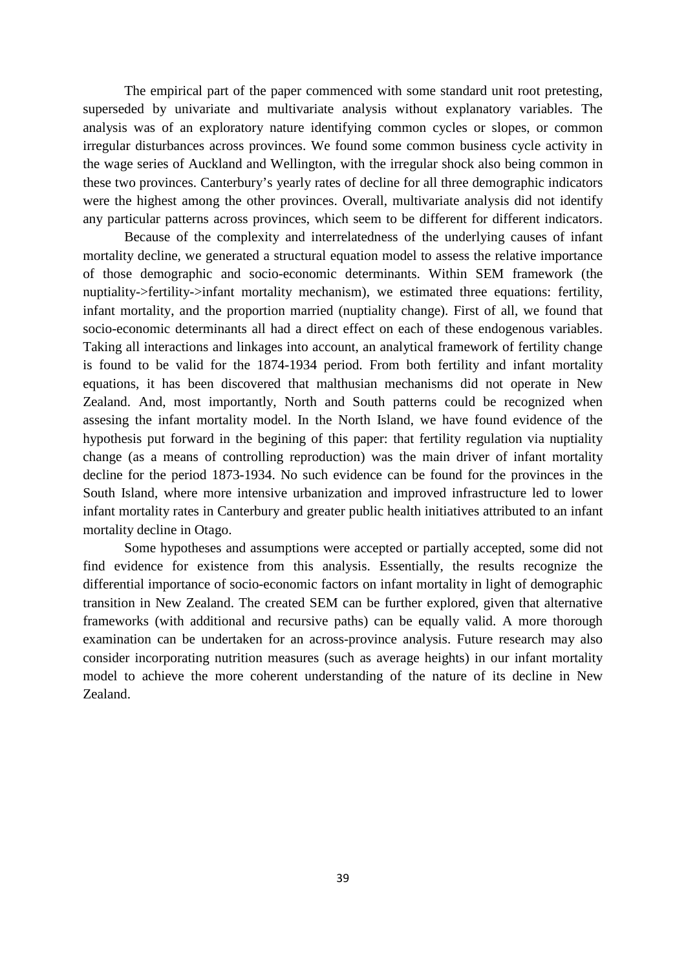The empirical part of the paper commenced with some standard unit root pretesting, superseded by univariate and multivariate analysis without explanatory variables. The analysis was of an exploratory nature identifying common cycles or slopes, or common irregular disturbances across provinces. We found some common business cycle activity in the wage series of Auckland and Wellington, with the irregular shock also being common in these two provinces. Canterbury's yearly rates of decline for all three demographic indicators were the highest among the other provinces. Overall, multivariate analysis did not identify any particular patterns across provinces, which seem to be different for different indicators.

Because of the complexity and interrelatedness of the underlying causes of infant mortality decline, we generated a structural equation model to assess the relative importance of those demographic and socio-economic determinants. Within SEM framework (the nuptiality->fertility->infant mortality mechanism), we estimated three equations: fertility, infant mortality, and the proportion married (nuptiality change). First of all, we found that socio-economic determinants all had a direct effect on each of these endogenous variables. Taking all interactions and linkages into account, an analytical framework of fertility change is found to be valid for the 1874-1934 period. From both fertility and infant mortality equations, it has been discovered that malthusian mechanisms did not operate in New Zealand. And, most importantly, North and South patterns could be recognized when assesing the infant mortality model. In the North Island, we have found evidence of the hypothesis put forward in the begining of this paper: that fertility regulation via nuptiality change (as a means of controlling reproduction) was the main driver of infant mortality decline for the period 1873-1934. No such evidence can be found for the provinces in the South Island, where more intensive urbanization and improved infrastructure led to lower infant mortality rates in Canterbury and greater public health initiatives attributed to an infant mortality decline in Otago.

Some hypotheses and assumptions were accepted or partially accepted, some did not find evidence for existence from this analysis. Essentially, the results recognize the differential importance of socio-economic factors on infant mortality in light of demographic transition in New Zealand. The created SEM can be further explored, given that alternative frameworks (with additional and recursive paths) can be equally valid. A more thorough examination can be undertaken for an across-province analysis. Future research may also consider incorporating nutrition measures (such as average heights) in our infant mortality model to achieve the more coherent understanding of the nature of its decline in New Zealand.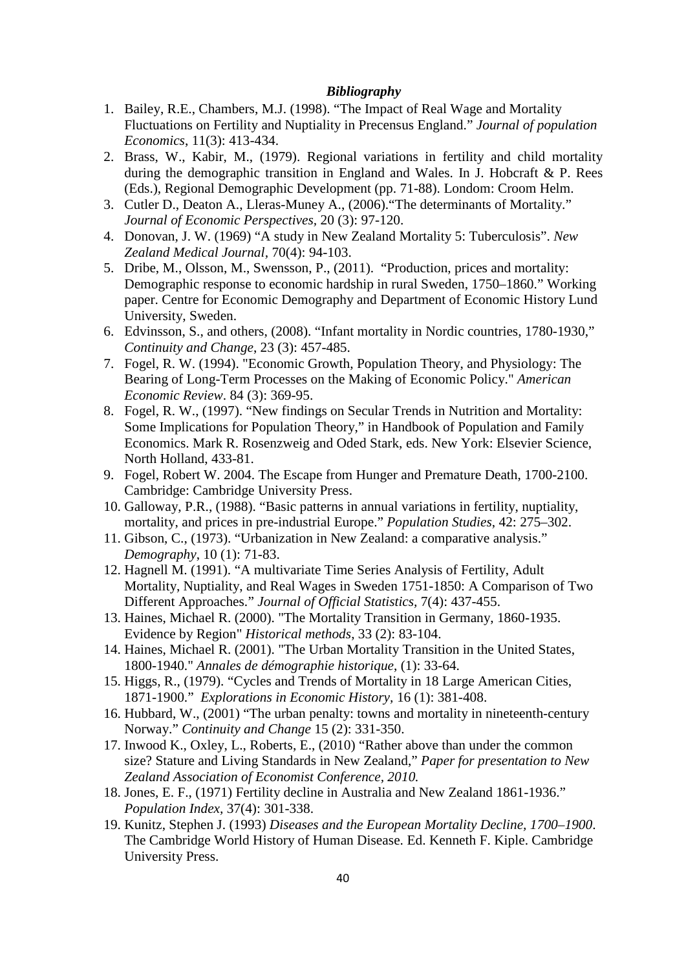# *Bibliography*

- 1. Bailey, R.E., Chambers, M.J. (1998). "The Impact of Real Wage and Mortality Fluctuations on Fertility and Nuptiality in Precensus England." *Journal of population Economics*, 11(3): 413-434.
- 2. Brass, W., Kabir, M., (1979). Regional variations in fertility and child mortality during the demographic transition in England and Wales. In J. Hobcraft & P. Rees (Eds.), Regional Demographic Development (pp. 71-88). Londom: Croom Helm.
- 3. Cutler D., Deaton A., Lleras-Muney A., (2006)."The determinants of Mortality." *Journal of Economic Perspectives,* 20 (3): 97-120.
- 4. Donovan, J. W. (1969) "A study in New Zealand Mortality 5: Tuberculosis". *New Zealand Medical Journal,* 70(4): 94-103.
- 5. Dribe, M., Olsson, M., Swensson, P., (2011). "Production, prices and mortality: Demographic response to economic hardship in rural Sweden, 1750–1860." Working paper. Centre for Economic Demography and Department of Economic History Lund University, Sweden.
- 6. Edvinsson, S., and others, (2008). "Infant mortality in Nordic countries, 1780-1930," *Continuity and Change*, 23 (3): 457-485.
- 7. Fogel, R. W. (1994). "Economic Growth, Population Theory, and Physiology: The Bearing of Long-Term Processes on the Making of Economic Policy." *American Economic Review*. 84 (3): 369-95.
- 8. Fogel, R. W., (1997). "New findings on Secular Trends in Nutrition and Mortality: Some Implications for Population Theory," in Handbook of Population and Family Economics. Mark R. Rosenzweig and Oded Stark, eds. New York: Elsevier Science, North Holland, 433-81.
- 9. Fogel, Robert W. 2004. The Escape from Hunger and Premature Death, 1700-2100. Cambridge: Cambridge University Press.
- 10. Galloway, P.R., (1988). "Basic patterns in annual variations in fertility, nuptiality, mortality, and prices in pre-industrial Europe." *Population Studies*, 42: 275–302.
- 11. Gibson, C., (1973). "Urbanization in New Zealand: a comparative analysis." *Demography*, 10 (1): 71-83.
- 12. Hagnell M. (1991). "A multivariate Time Series Analysis of Fertility, Adult Mortality, Nuptiality, and Real Wages in Sweden 1751-1850: A Comparison of Two Different Approaches." *Journal of Official Statistics,* 7(4): 437-455.
- 13. Haines, Michael R. (2000). "The Mortality Transition in Germany, 1860-1935. Evidence by Region" *Historical methods*, 33 (2): 83-104.
- 14. Haines, Michael R. (2001). "The Urban Mortality Transition in the United States, 1800-1940." *Annales de démographie historique*, (1): 33-64.
- 15. Higgs, R., (1979). "Cycles and Trends of Mortality in 18 Large American Cities, 1871-1900." *Explorations in Economic History,* 16 (1): 381-408.
- 16. Hubbard, W., (2001) "The urban penalty: towns and mortality in nineteenth-century Norway." *Continuity and Change* 15 (2): 331-350.
- 17. Inwood K., Oxley, L., Roberts, E., (2010) "Rather above than under the common size? Stature and Living Standards in New Zealand," *Paper for presentation to New Zealand Association of Economist Conference, 2010.*
- 18. Jones, E. F., (1971) Fertility decline in Australia and New Zealand 1861-1936." *Population Index,* 37(4): 301-338.
- 19. Kunitz, Stephen J. (1993) *Diseases and the European Mortality Decline, 1700–1900*. The Cambridge World History of Human Disease. Ed. Kenneth F. Kiple. Cambridge University Press.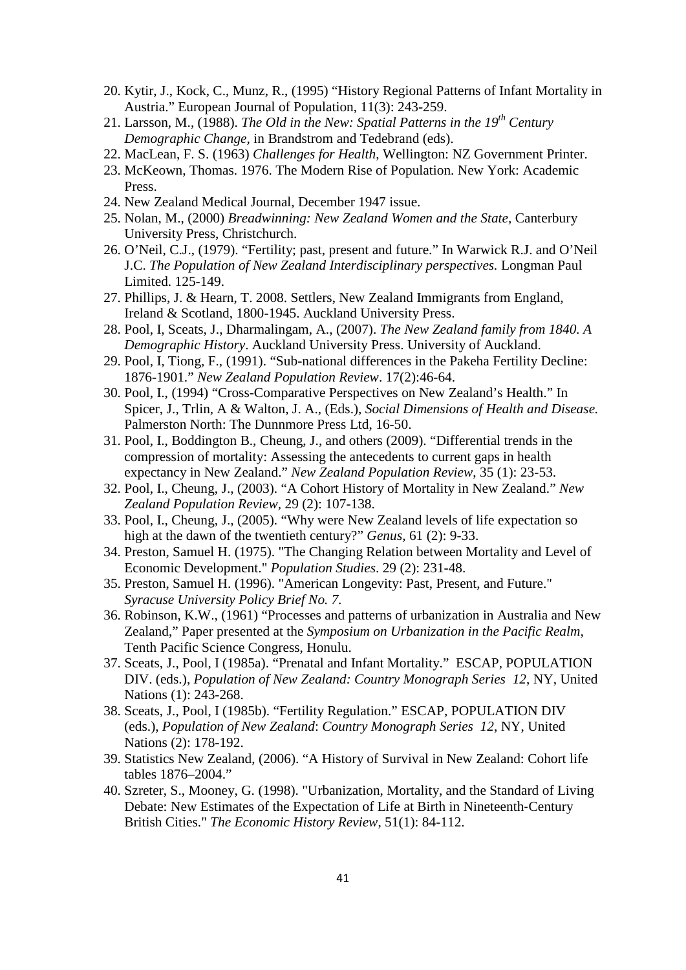- 20. Kytir, J., Kock, C., Munz, R., (1995) "History Regional Patterns of Infant Mortality in Austria." European Journal of Population, 11(3): 243-259.
- 21. Larsson, M., (1988). *The Old in the New: Spatial Patterns in the 19th Century Demographic Change,* in Brandstrom and Tedebrand (eds).
- 22. MacLean, F. S. (1963) *Challenges for Health*, Wellington: NZ Government Printer.
- 23. McKeown, Thomas. 1976. The Modern Rise of Population. New York: Academic Press.
- 24. New Zealand Medical Journal, December 1947 issue.
- 25. Nolan, M., (2000) *Breadwinning: New Zealand Women and the State,* Canterbury University Press, Christchurch.
- 26. O'Neil, C.J., (1979). "Fertility; past, present and future." In Warwick R.J. and O'Neil J.C. *The Population of New Zealand Interdisciplinary perspectives.* Longman Paul Limited. 125-149.
- 27. Phillips, J. & Hearn, T. 2008. Settlers, New Zealand Immigrants from England, Ireland & Scotland, 1800-1945. Auckland University Press.
- 28. Pool, I, Sceats, J., Dharmalingam, A., (2007). *The New Zealand family from 1840. A Demographic History*. Auckland University Press. University of Auckland.
- 29. Pool, I, Tiong, F., (1991). "Sub-national differences in the Pakeha Fertility Decline: 1876-1901." *New Zealand Population Review*. 17(2):46-64.
- 30. Pool, I., (1994) "Cross-Comparative Perspectives on New Zealand's Health." In Spicer, J., Trlin, A & Walton, J. A., (Eds.), *Social Dimensions of Health and Disease.* Palmerston North: The Dunnmore Press Ltd, 16-50.
- 31. Pool, I., Boddington B., Cheung, J., and others (2009). "Differential trends in the compression of mortality: Assessing the antecedents to current gaps in health expectancy in New Zealand." *New Zealand Population Review*, 35 (1): 23-53.
- 32. Pool, I., Cheung, J., (2003). "A Cohort History of Mortality in New Zealand." *New Zealand Population Review,* 29 (2): 107-138.
- 33. Pool, I., Cheung, J., (2005). "Why were New Zealand levels of life expectation so high at the dawn of the twentieth century?" *Genus,* 61 (2): 9-33.
- 34. Preston, Samuel H. (1975). "The Changing Relation between Mortality and Level of Economic Development." *Population Studies*. 29 (2): 231-48.
- 35. Preston, Samuel H. (1996). "American Longevity: Past, Present, and Future." *Syracuse University Policy Brief No. 7.*
- 36. Robinson, K.W., (1961) "Processes and patterns of urbanization in Australia and New Zealand," Paper presented at the *Symposium on Urbanization in the Pacific Realm*, Tenth Pacific Science Congress, Honulu.
- 37. Sceats, J., Pool, I (1985a). "Prenatal and Infant Mortality." ESCAP, POPULATION DIV. (eds.), *Population of New Zealand: Country Monograph Series 12*, NY, United Nations (1): 243-268.
- 38. Sceats, J., Pool, I (1985b). "Fertility Regulation." ESCAP, POPULATION DIV (eds.), *Population of New Zealand*: *Country Monograph Series 12*, NY, United Nations (2): 178-192.
- 39. Statistics New Zealand, (2006). "A History of Survival in New Zealand: Cohort life tables 1876–2004."
- 40. Szreter, S., Mooney, G. (1998). "Urbanization, Mortality, and the Standard of Living Debate: New Estimates of the Expectation of Life at Birth in Nineteenth-Century British Cities." *The Economic History Review*, 51(1): 84-112.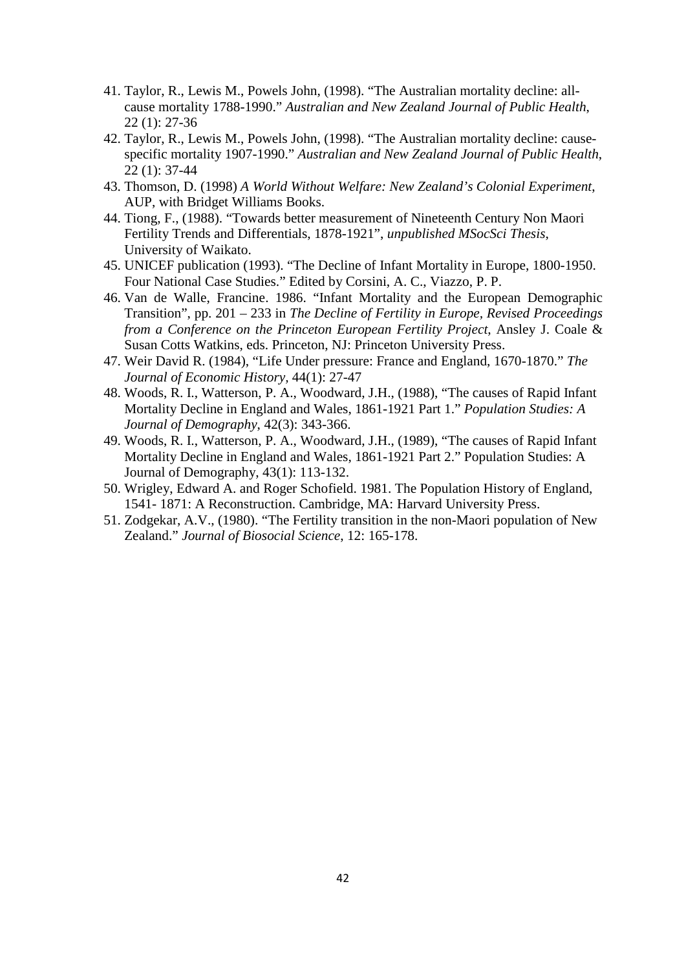- 41. Taylor, R., Lewis M., Powels John, (1998). "The Australian mortality decline: allcause mortality 1788-1990." *Australian and New Zealand Journal of Public Health*, 22 (1): 27-36
- 42. Taylor, R., Lewis M., Powels John, (1998). "The Australian mortality decline: causespecific mortality 1907-1990." *Australian and New Zealand Journal of Public Health*, 22 (1): 37-44
- 43. Thomson, D. (1998) *A World Without Welfare: New Zealand's Colonial Experiment*, AUP, with Bridget Williams Books.
- 44. Tiong, F., (1988). "Towards better measurement of Nineteenth Century Non Maori Fertility Trends and Differentials, 1878-1921", *unpublished MSocSci Thesis*, University of Waikato.
- 45. UNICEF publication (1993). "The Decline of Infant Mortality in Europe, 1800-1950. Four National Case Studies." Edited by Corsini, A. C., Viazzo, P. P.
- 46. Van de Walle, Francine. 1986. "Infant Mortality and the European Demographic Transition", pp. 201 – 233 in *The Decline of Fertility in Europe, Revised Proceedings from a Conference on the Princeton European Fertility Project*, Ansley J. Coale & Susan Cotts Watkins, eds. Princeton, NJ: Princeton University Press.
- 47. Weir David R. (1984), "Life Under pressure: France and England, 1670-1870." *The Journal of Economic History,* 44(1): 27-47
- 48. Woods, R. I., Watterson, P. A., Woodward, J.H., (1988), "The causes of Rapid Infant Mortality Decline in England and Wales, 1861-1921 Part 1." *Population Studies: A Journal of Demography*, 42(3): 343-366.
- 49. Woods, R. I., Watterson, P. A., Woodward, J.H., (1989), "The causes of Rapid Infant Mortality Decline in England and Wales, 1861-1921 Part 2." Population Studies: A Journal of Demography, 43(1): 113-132.
- 50. Wrigley, Edward A. and Roger Schofield. 1981. The Population History of England, 1541- 1871: A Reconstruction. Cambridge, MA: Harvard University Press.
- 51. Zodgekar, A.V., (1980). "The Fertility transition in the non-Maori population of New Zealand." *Journal of Biosocial Science*, 12: 165-178.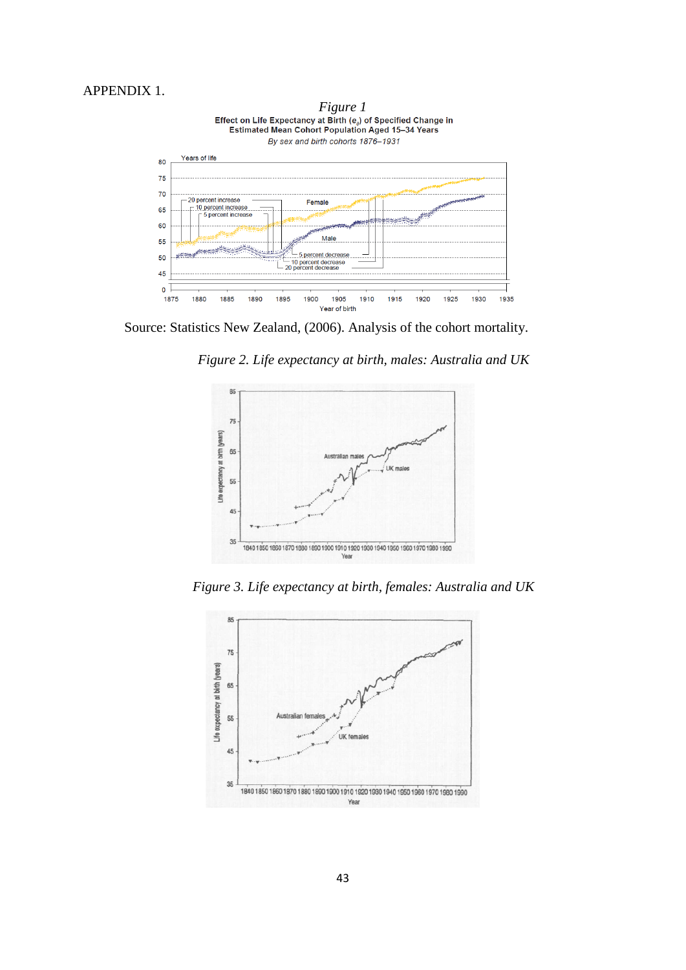# APPENDIX 1.



Source: Statistics New Zealand, (2006). Analysis of the cohort mortality.

*Figure 2. Life expectancy at birth, males: Australia and UK*



*Figure 3. Life expectancy at birth, females: Australia and UK*

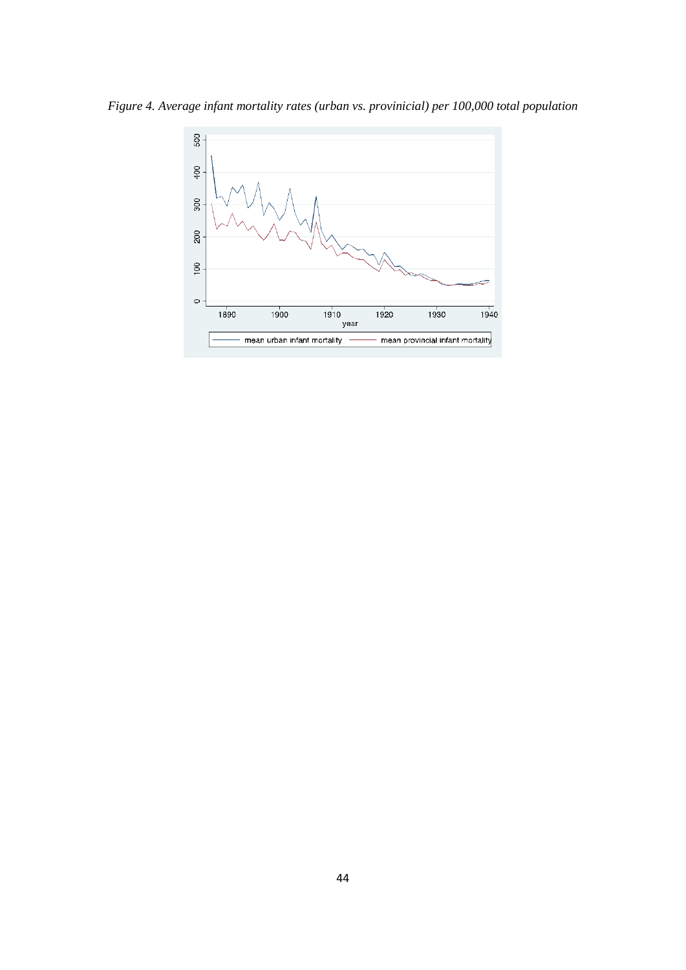*Figure 4. Average infant mortality rates (urban vs. provinicial) per 100,000 total population*

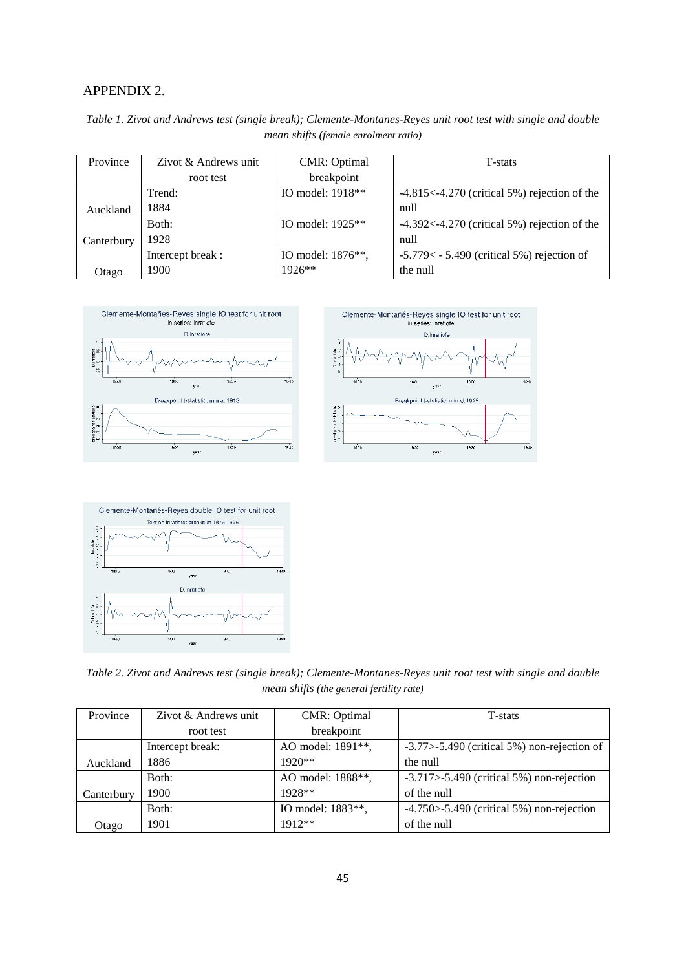# APPENDIX 2.

| Table 1. Zivot and Andrews test (single break); Clemente-Montanes-Reyes unit root test with single and double |  |
|---------------------------------------------------------------------------------------------------------------|--|
| mean shifts (female enrolment ratio)                                                                          |  |

| Province   | Zivot & Andrews unit | <b>CMR</b> : Optimal | T-stats                                         |
|------------|----------------------|----------------------|-------------------------------------------------|
|            | root test            | breakpoint           |                                                 |
|            | Trend:               | IO model: 1918**     | $-4.815< -4.270$ (critical 5%) rejection of the |
| Auckland   | 1884                 |                      | null                                            |
|            | Both:                | IO model: $1925**$   | $-4.392< -4.270$ (critical 5%) rejection of the |
| Canterbury | 1928                 |                      | null                                            |
|            | Intercept break:     | IO model: 1876**,    | $-5.779 < -5.490$ (critical 5%) rejection of    |
| Otago      | 1900.                | $1926**$             | the null                                        |







*Table 2. Zivot and Andrews test (single break); Clemente-Montanes-Reyes unit root test with single and double mean shifts (the general fertility rate)*

| Province   | Zivot & Andrews unit | <b>CMR</b> : Optimal | T-stats                                             |
|------------|----------------------|----------------------|-----------------------------------------------------|
|            | root test            | breakpoint           |                                                     |
|            | Intercept break:     | AO model: 1891**,    | $-3.77$ $>$ $-5.490$ (critical 5%) non-rejection of |
| Auckland   | 1886                 | $1920**$             | the null                                            |
|            | Both:                | AO model: 1888**,    | $-3.717$ $> -5.490$ (critical 5%) non-rejection     |
| Canterbury | 1900                 | $1928**$             | of the null                                         |
|            | Both:                | IO model: 1883**,    | $-4.750$ $>$ $-5.490$ (critical 5%) non-rejection   |
| Otago      | 1901                 | $1912**$             | of the null                                         |